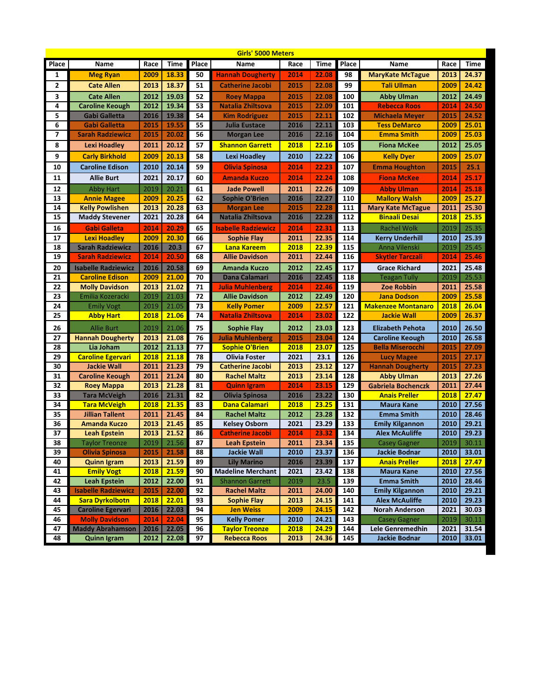|          | <b>Girls' 5000 Meters</b>                          |              |                |          |                                             |              |                |            |                                                |              |                |  |
|----------|----------------------------------------------------|--------------|----------------|----------|---------------------------------------------|--------------|----------------|------------|------------------------------------------------|--------------|----------------|--|
| Place    | Name                                               | Race         | Time           | Place    | Name                                        | Race         | Time           | Place      | Name                                           | Race         | Time           |  |
| 1        | <b>Meg Ryan</b>                                    | 2009         | 18.33          | 50       | <b>Hannah Dougherty</b>                     | 2014         | 22.08          | 98         | <b>MaryKate McTague</b>                        | 2013         | 24.37          |  |
| 2        | <b>Cate Allen</b>                                  | 2013         | 18.37          | 51       | <b>Catherine Jacobi</b>                     | 2015         | 22.08          | 99         | <b>Tali Ullman</b>                             | 2009         | 24.42          |  |
| 3        | <b>Cate Allen</b>                                  | 2012         | 19.03          | 52       | <b>Roey Mappa</b>                           | 2015         | 22.08          | 100        | <b>Abby Ulman</b>                              | 2012         | 24.49          |  |
| 4        | <b>Caroline Keough</b>                             | 2012         | 19.34          | 53       | Natalia Zhiltsova                           | 2015         | 22.09          | 101        | <b>Rebecca Roos</b>                            | 2014         | 24.50          |  |
| 5        | Gabi Galletta                                      | 2016         | 19.38          | 54       | <b>Kim Rodriguez</b>                        | 2015         | 22.11          | 102        | <b>Michaela Meyer</b>                          | 2015         | 24.52          |  |
| 6        | <b>Gabi Galletta</b>                               | 2015         | 19.55          | 55       | <b>Julia Eustace</b>                        | 2016         | 22.11          | 103        | <b>Tess DeMarco</b>                            | 2009         | 25.01          |  |
| 7        | <b>Sarah Radziewicz</b>                            | 2015         | 20.02          | 56       | <b>Morgan Lee</b>                           | 2016         | 22.16          | 104        | <b>Emma Smith</b>                              | 2009         | 25.03          |  |
| 8        | Lexi Hoadley                                       | 2011         | 20.12          | 57       | <b>Shannon Garrett</b>                      | 2018         | 22.16          | 105        | <b>Fiona McKee</b>                             | 2012         | 25.05          |  |
| 9        | <b>Carly Birkhold</b>                              | 2009         | 20.13          | 58       | Lexi Hoadley                                | 2010         | 22.22          | 106        | <b>Kelly Dyer</b>                              | 2009         | 25.07          |  |
| 10       | <b>Caroline Edison</b>                             | 2010         | 20.14          | 59       | <b>Olivia Spinosa</b>                       | 2014         | 22.23          | 107        | <b>Emma Houghton</b>                           | 2015         | 25.1           |  |
| 11       | <b>Allie Burt</b>                                  | 2021         | 20.17          | 60       | <b>Amanda Kuczo</b>                         | 2014         | 22.24          | 108        | <b>Fiona McKee</b>                             | 2014         | 25.17          |  |
| 12       | <b>Abby Hart</b>                                   | 2019         | 20.21          | 61       | <b>Jade Powell</b>                          | 2011         | 22.26          | 109        | <b>Abby Ulman</b>                              | 2014         | 25.18          |  |
| 13       | <b>Annie Magee</b>                                 | 2009         | 20.25          | 62       | <b>Sophie O'Brien</b>                       | 2016         | 22.27          | 110        | <b>Mallory Walsh</b>                           | 2009         | 25.27          |  |
| 14       | <b>Kelly Powlishen</b>                             | 2013         | 20.28          | 63       | <b>Morgan Lee</b>                           | 2015         | 22.28          | 111        | <b>Mary Kate McTague</b>                       | 2011         | 25.30          |  |
| 15       | <b>Maddy Stevener</b>                              | 2021         | 20.28          | 64       | Natalia Zhiltsova                           | 2016         | 22.28          | 112        | <b>Binaali Desai</b>                           | 2018         | 25.35          |  |
| 16       | <b>Gabi Galleta</b>                                | 2014         | 20.29          | 65       | <b>Isabelle Radziewicz</b>                  | 2014         | 22.31          | 113        | <b>Rachel Wolk</b>                             | 2019         | 25.35          |  |
| 17       | <b>Lexi Hoadley</b>                                | 2009         | 20.30          | 66       | Sophie Flay                                 | 2011         | 22.35          | 114        | <b>Kerry Underhill</b>                         | 2010         | 25.39          |  |
| 18       | <b>Sarah Radziewicz</b>                            | 2016         | 20.3           | 67       | Lana Kareem                                 | 2018         | 22.39          | 115        | Anna Vilenski                                  | 2019         | 25.45          |  |
| 19       | <b>Sarah Radziewicz</b>                            | 2014         | 20.50          | 68       | <b>Allie Davidson</b>                       | 2011         | 22.44          | 116        | <b>Skytler Tarczali</b>                        | 2014         | 25.46          |  |
| 20       | <b>Isabelle Radziewicz</b>                         | 2016         | 20.58          | 69       | <b>Amanda Kuczo</b>                         | 2012         | 22.45          | 117        | <b>Grace Richard</b>                           | 2021         | 25.48          |  |
| 21       | <b>Caroline Edison</b>                             | 2009         | 21.00          | 70       | Dana Calamari                               | 2016         | 22.45          | 118        | <b>Teagan Tully</b>                            | 2019         | 25.53          |  |
| 22       | <b>Molly Davidson</b>                              | 2013         | 21.02          | 71       | <b>Julia Muhlenberg</b>                     | 2014         | 22.46          | 119        | <b>Zoe Robbin</b>                              | 2011         | 25.58          |  |
| 23       | Emilia Kozeracki                                   | 2019         | 21.03          | 72       | <b>Allie Davidson</b>                       | 2012         | 22.49          | 120        | <b>Jana Dodson</b>                             | 2009         | 25.58          |  |
| 24       | <b>Emily Vogt</b>                                  | 2019         | 21.05          | 73       | <b>Kelly Pomer</b>                          | 2009         | 22.57          | 121        | <b>Makenzee Montanaro</b>                      | 2018         | 26.04          |  |
| 25       | <b>Abby Hart</b>                                   | 2018         | 21.06          | 74       | <b>Natalia Zhiltsova</b>                    | 2014         | 23.02          | 122        | <b>Jackie Wall</b>                             | 2009         | 26.37          |  |
| 26       | <b>Allie Burt</b>                                  | 2019         | 21.06          | 75       | Sophie Flay                                 | 2012         | 23.03          | 123        | <b>Elizabeth Pehota</b>                        | 2010         | 26.50          |  |
| 27       | <b>Hannah Dougherty</b>                            | 2013         | 21.08          | 76       | <b>Julia Muhlenberg</b>                     | 2015         | 23.04          | 124        | <b>Caroline Keough</b>                         | 2010         | 26.58          |  |
| 28       | Lia Joham                                          | 2012         | 21.13          | 77       | <b>Sophie O'Brien</b>                       | 2018         | 23.07          | 125        | <b>Bella Miserocchi</b>                        | 2015         | 27.09          |  |
| 29       | <b>Caroline Egervari</b>                           | 2018         | 21.18          | 78       | <b>Olivia Foster</b>                        | 2021         | 23.1           | 126        | <b>Lucy Magee</b>                              | 2015         | 27.17          |  |
| 30       | <b>Jackie Wall</b>                                 | 2011         | 21.23          | 79       | <b>Catherine Jacobi</b>                     | 2013         | 23.12          | 127        | <b>Hannah Dougherty</b>                        | 2015         | 27.23          |  |
| 31       | <b>Caroline Keough</b>                             | 2011         | 21.24          | 80       | <b>Rachel Maltz</b>                         | 2013         | 23.14          | 128        | <b>Abby Ulman</b>                              | 2013         | 27.26          |  |
| 32       | <b>Roey Mappa</b>                                  | 2013         | 21.28          | 81       | <b>Quinn Igram</b>                          | 2014         | 23.15          | 129        | Gabriela Bochenczk                             | 2011         | 27.44          |  |
| 33       | <b>Tara McVeigh</b>                                | 2016         | 21.31          | 82       | Olivia Spinosa                              | 2016         | 23.22          | 130        | <b>Anais Preller</b>                           | 2018         | 27.47          |  |
| 34       | <b>Tara McVeigh</b>                                | 2018         | 21.35          | 83       | Dana Calamari                               | <b>2018</b>  | 23.25          | 131        | <b>Maura Kane</b>                              | 2010         | 27.56          |  |
| 35       | <b>Jillian Tallent</b>                             | 2011         | 21.45          | 84       | <b>Rachel Maltz</b>                         | 2012         | 23.28          | 132        | <b>Emma Smith</b>                              | 2010         | 28.46          |  |
| 36       | <b>Amanda Kuczo</b>                                | 2013         | 21.45          | 85       | <b>Kelsey Osborn</b>                        | 2021         | 23.29          | 133        | <b>Emily Kilgannon</b>                         | 2010         | 29.21          |  |
| 37       | <b>Leah Epstein</b>                                | 2013         | 21.52          | 86       | <b>Catherine Jacobi</b>                     | 2014         | 23.32          | 134        | <b>Alex McAuliffe</b>                          | 2010         | 29.23          |  |
| 38       | Taylor Treonze                                     | 2019         | 21.56          | 87       | <b>Leah Epstein</b>                         | 2011         | 23.34          | 135        | <b>Casey Gagner</b>                            | 2019         | 30.11          |  |
| 39       | <b>Olivia Spinosa</b>                              | 2015         | 21.58          | 88       | <b>Jackie Wall</b>                          | 2010         | 23.37          | 136        | <b>Jackie Bodnar</b>                           | 2010         | 33.01          |  |
| 40       | <b>Quinn Igram</b>                                 | 2013         | 21.59          | 89       | <b>Lily Marino</b>                          | 2016         | 23.39          | 137        | <b>Anais Preller</b>                           | 2018         | 27.47          |  |
| 41       | <b>Emily Vogt</b>                                  | 2018         | 21.59          | 90       | <b>Madeline Merchant</b>                    | 2021         | 23.42          | 138        | <b>Maura Kane</b>                              | 2010         | 27.56          |  |
| 42       | <b>Leah Epstein</b>                                | 2012         | 22.00          | 91       | <b>Shannon Garrett</b>                      | 2019         | 23.5           | 139        | <b>Emma Smith</b>                              | 2010         | 28.46          |  |
| 43       | <b>Isabelle Radziewicz</b>                         | 2015         | 22.00          | 92       | <b>Rachel Maltz</b>                         | 2011         | 24.00          | 140        | <b>Emily Kilgannon</b>                         | 2010         | 29.21          |  |
| 44<br>45 | <b>Sara Dyrkolbotn</b><br><b>Caroline Egervari</b> | 2018<br>2016 | 22.01<br>22.03 | 93<br>94 | <b>Sophie Flay</b>                          | 2013         | 24.15          | 141        | <b>Alex McAuliffe</b><br><b>Norah Anderson</b> | 2010         | 29.23          |  |
| 46       | <b>Molly Davidson</b>                              |              |                | 95       | <b>Jen Weiss</b>                            | 2009         | 24.15<br>24.21 | 142        |                                                | 2021<br>2019 | 30.03          |  |
| 47       | <b>Maddy Abrahamson</b>                            | 2014<br>2016 | 22.04<br>22.05 | 96       | <b>Kelly Pomer</b><br><b>Taylor Treonze</b> | 2010<br>2018 | 24.29          | 143<br>144 | <b>Casey Gagner</b><br>Lele Genremedhin        | 2021         | 30.11<br>31.54 |  |
| 48       | <b>Quinn Igram</b>                                 | 2012         | 22.08          | 97       | <b>Rebecca Roos</b>                         | 2013         | 24.36          | 145        | <b>Jackie Bodnar</b>                           | 2010         | 33.01          |  |
|          |                                                    |              |                |          |                                             |              |                |            |                                                |              |                |  |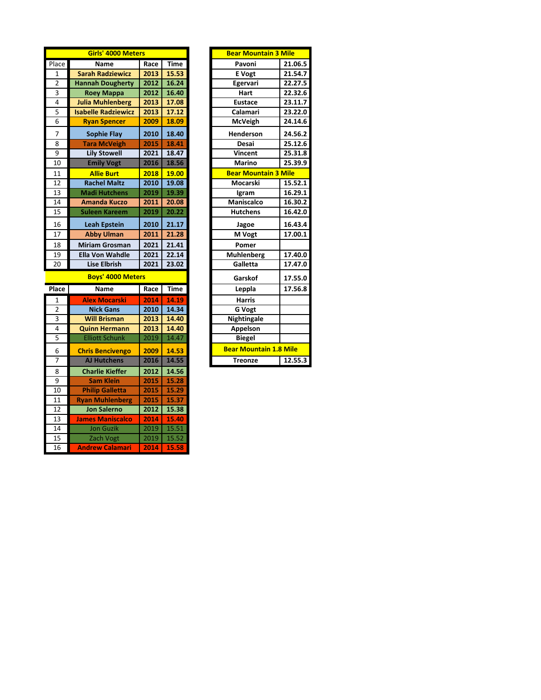|                | Girls' 4000 Meters         |      | <b>Bear Mountain 3 Mile</b> |                               |         |
|----------------|----------------------------|------|-----------------------------|-------------------------------|---------|
| Place          | Name                       | Race | Time                        | Pavoni                        | 21.06.5 |
| $\mathbf{1}$   | <b>Sarah Radziewicz</b>    | 2013 | 15.53                       | <b>E</b> Vogt                 | 21.54.7 |
| $\overline{2}$ | <b>Hannah Dougherty</b>    | 2012 | 16.24                       | Egervari                      | 22.27.5 |
| 3              | Roey Mappa                 | 2012 | 16.40                       | Hart                          | 22.32.6 |
| 4              | <b>Julia Muhlenberg</b>    | 2013 | 17.08                       | <b>Eustace</b>                | 23.11.7 |
| 5              | <b>Isabelle Radziewicz</b> | 2013 | 17.12                       | Calamari                      | 23.22.0 |
| 6              | <b>Ryan Spencer</b>        | 2009 | 18.09                       | <b>McVeigh</b>                | 24.14.6 |
| 7              | <b>Sophie Flay</b>         | 2010 | 18.40                       | Henderson                     | 24.56.2 |
| 8              | <b>Tara McVeigh</b>        | 2015 | 18.41                       | Desai                         | 25.12.6 |
| 9              | <b>Lily Stowell</b>        | 2021 | 18.47                       | Vincent                       | 25.31.8 |
| 10             | <b>Emily Vogt</b>          | 2016 | 18.56                       | <b>Marino</b>                 | 25.39.9 |
| 11             | <b>Allie Burt</b>          | 2018 | 19.00                       | <b>Bear Mountain 3 Mile</b>   |         |
| 12             | <b>Rachel Maltz</b>        | 2010 | 19.08                       | Mocarski                      | 15.52.1 |
| 13             | <b>Madi Hutchens</b>       | 2019 | 19.39                       | Igram                         | 16.29.1 |
| 14             | Amanda Kuczo               | 2011 | 20.08                       | Maniscalco                    | 16.30.2 |
| 15             | <b>Suleen Kareem</b>       | 2019 | 20.22                       | <b>Hutchens</b>               | 16.42.0 |
| 16             | <b>Leah Epstein</b>        | 2010 | 21.17                       | Jagoe                         | 16.43.4 |
| 17             | <b>Abby Ulman</b>          | 2011 | 21.28                       | M Vogt                        | 17.00.1 |
| 18             | <b>Miriam Grosman</b>      | 2021 | 21.41                       | Pomer                         |         |
| 19             | <b>Ella Von Wahdle</b>     | 2021 | 22.14                       | <b>Muhlenberg</b>             | 17.40.0 |
| 20             | <b>Lise Elbrish</b>        | 2021 | 23.02                       | Galletta                      | 17.47.0 |
|                | <b>Boys' 4000 Meters</b>   |      |                             | Garskof                       | 17.55.0 |
| Place          | Name                       | Race | Time                        | Leppla                        | 17.56.8 |
| 1              | <b>Alex Mocarski</b>       | 2014 | 14.19                       | <b>Harris</b>                 |         |
| $\overline{2}$ | <b>Nick Gans</b>           | 2010 | 14.34                       | <b>G</b> Vogt                 |         |
| 3              | <b>Will Brisman</b>        | 2013 | 14.40                       | Nightingale                   |         |
| 4              | <b>Quinn Hermann</b>       | 2013 | 14.40                       | Appelson                      |         |
| 5              | <b>Elliott Schunk</b>      | 2019 | 14.47                       | <b>Biegel</b>                 |         |
| 6              | <b>Chris Bencivengo</b>    | 2009 | 14.53                       | <b>Bear Mountain 1.8 Mile</b> |         |
| 7              | <b>AJ Hutchens</b>         | 2016 | 14.55                       | <b>Treonze</b>                | 12.55.3 |
| 8              | <b>Charlie Kieffer</b>     | 2012 | 14.56                       |                               |         |
| 9              | <b>Sam Klein</b>           | 2015 | 15.28                       |                               |         |
| 10             | <b>Philip Galletta</b>     | 2015 | 15.29                       |                               |         |
| 11             | <b>Ryan Muhlenberg</b>     | 2015 | 15.37                       |                               |         |
| 12             | <b>Jon Salerno</b>         | 2012 | 15.38                       |                               |         |
| 13             | <b>James Maniscalco</b>    | 2014 | 15.40                       |                               |         |
| 14             | <b>Jon Guzik</b>           | 2019 | 15.51                       |                               |         |
| 15             | Zach Vogt                  | 2019 | 15.52                       |                               |         |
| 16             | Andrew Calamari            | 2014 | 15.58                       |                               |         |

| Bear Mountain 3 Mile          |         |
|-------------------------------|---------|
| Pavoni                        | 21.06.5 |
| E Vogt                        | 21.54.7 |
| Egervari                      | 22.27.5 |
| Hart                          | 22.32.6 |
| <b>Eustace</b>                | 23.11.7 |
| Calamari                      | 23.22.0 |
| McVeigh                       | 24.14.6 |
| Henderson                     | 24.56.2 |
| Desai                         | 25.12.6 |
| Vincent                       | 25.31.8 |
| Marino                        | 25.39.9 |
| <b>Bear Mountain 3 Mile</b>   |         |
| Mocarski                      | 15.52.1 |
| Igram                         | 16.29.1 |
| Maniscalco                    | 16.30.2 |
| Hutchens                      | 16.42.0 |
| Jagoe                         | 16.43.4 |
| M Vogt                        | 17.00.1 |
| Pomer                         |         |
| <b>Muhlenberg</b>             | 17.40.0 |
| Galletta                      | 17.47.0 |
| Garskof                       | 17.55.0 |
| Leppla                        | 17.56.8 |
| <b>Harris</b>                 |         |
| G Vogt                        |         |
| Nightingale                   |         |
| Appelson                      |         |
| <b>Biegel</b>                 |         |
| <b>Bear Mountain 1.8 Mile</b> |         |
| <b>Treonze</b>                | 12.55.3 |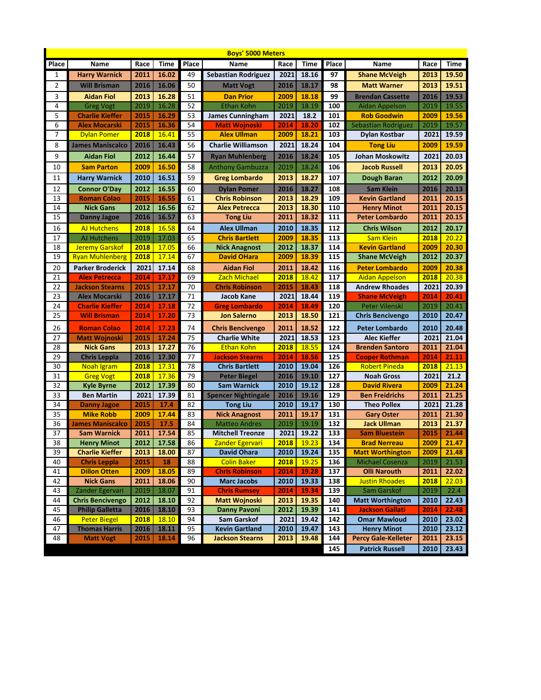| Place<br><b>Time</b><br>Place<br><b>Time</b><br>Place<br>Name<br>Race<br>Name<br>Race<br>Time<br>Name<br>Race<br><b>Harry Warnick</b><br>2011<br>16.02<br>49<br><b>Sebastian Rodriguez</b><br>2021<br>18.16<br>97<br><b>Shane McVeigh</b><br>2013<br>19.50<br>1<br>2<br>2016<br>16.06<br>50<br>2016<br>18.17<br><b>Will Brisman</b><br>98<br><b>Matt Warner</b><br>2013<br>19.51<br><b>Matt Vogt</b><br>3<br><b>Aidan Fiol</b><br>2013<br>16.28<br>51<br>2009<br>18.18<br>99<br>2016<br>19.53<br><b>Dan Prior</b><br><b>Brendan Cassette</b><br>4<br>2019<br>52<br>18.19<br>16.28<br><b>Ethan Kohn</b><br>2019<br>100<br>2019<br>19.55<br><b>Greg Vogt</b><br>Aidan Appelson<br>5<br>16.29<br>53<br>18.2<br>101<br><b>Charlie Kieffer</b><br>2015<br><b>James Cunningham</b><br>2021<br><b>Rob Goodwin</b><br>2009<br>19.56<br>6<br>54<br>2015<br>16.36<br>18.20<br>102<br>2019<br>19.57<br><b>Alex Mocarski</b><br><b>Matt Wojnoski</b><br>2014<br>Sebastian Rodriguez<br>7<br>2018<br>16.41<br>55<br><b>Alex Ullman</b><br>2009<br>18.21<br>103<br><b>Dylan Pomer</b><br><b>Dylan Kostbar</b><br>2021<br>19.59<br>8<br><b>Charlie Williamson</b><br><b>James Maniscalco</b><br>2016<br>16.43<br>56<br>2021<br>18.24<br>104<br>19.59<br><b>Tong Liu</b><br>2009<br>9<br>2012<br>57<br><b>Aidan Fiol</b><br>16.44<br>2016<br>18.24<br>105<br><b>Johan Moskowitz</b><br>2021<br>20.03<br><b>Ryan Muhlenberg</b><br>18.24<br>10<br>2009<br>16.50<br>58<br><b>Anthony Gambuzza</b><br>2019<br>106<br><b>Jacob Russell</b><br>2013<br>20.05<br><b>Sam Parton</b><br>2010<br>16.51<br>59<br>11<br>2013<br>18.27<br>107<br>2012<br>20.09<br><b>Harry Warnick</b><br><b>Greg Lombardo</b><br>Dough Baran<br>2012<br>16.55<br>2016<br>18.27<br>20.13<br>12<br><b>Connor O'Day</b><br>60<br>108<br>2016<br><b>Dylan Pomer</b><br><b>Sam Klein</b><br><b>Roman Colao</b><br>2015<br>16.55<br>2013<br>18.29<br>109<br><b>Kevin Gartland</b><br>2011<br>20.15<br>13<br>61<br><b>Chris Robinson</b><br>14<br>2012<br>16.56<br>62<br>18.30<br>110<br><b>Nick Gans</b><br><b>Alex Petrecca</b><br>2013<br><b>Henry Minot</b><br>2011<br>20.15<br>15<br>2016<br>16.57<br>63<br>18.32<br>111<br><b>Peter Lombardo</b><br>2011<br>20.15<br><b>Danny Jagoe</b><br><b>Tong Liu</b><br>2011<br>16.58<br>112<br>16<br><b>AJ Hutchens</b><br>2018<br>64<br><b>Alex Ullman</b><br>2010<br>18.35<br><b>Chris Wilson</b><br>2012<br>20.17<br>2019<br>17.03<br>17<br><b>AJ Hutchens</b><br>65<br>2009<br>18.35<br>113<br>2018<br>20.22<br><b>Chris Bartlett</b><br><b>Sam Klein</b><br>2018<br>17.05<br>66<br>2012<br>18.37<br>18<br><b>Jeremy Garskof</b><br><b>Nick Anagnost</b><br>114<br><b>Kevin Gartland</b><br>2009<br>20.30<br>19<br>2018<br>17.14<br>67<br><b>David OHara</b><br>18.39<br>115<br>2012<br>20.37<br><b>Ryan Muhlenberg</b><br>2009<br><b>Shane McVeigh</b><br>20<br><b>Parker Broderick</b><br>2021<br>17.14<br>68<br><b>Aidan Fiol</b><br>2011<br>18.42<br>116<br><b>Peter Lombardo</b><br>2009<br>20.38<br>21<br>2014<br>17.17<br>69<br>2018<br>18.42<br>117<br>2018<br>20.38<br><b>Alex Petrecca</b><br><b>Zach Michael</b><br><b>Aidan Appelson</b><br>70<br>22<br>2015<br>2021<br><b>Jackson Stearns</b><br>17.17<br>18.43<br>118<br><b>Andrew Rhoades</b><br>20.39<br><b>Chris Robinson</b><br>2015<br>71<br>23<br>2016<br>17.17<br>Jacob Kane<br>2021<br>18.44<br>119<br><b>Alex Mocarski</b><br><b>Shane McVeigh</b><br>2014<br>20.41<br>17.18<br>72<br>18.49<br>120<br>Peter Vilenski<br>2019<br>20.41<br>24<br><b>Charlie Kieffer</b><br>2014<br>2014<br><b>Greg Lombardo</b><br>73<br>25<br><b>Will Brisman</b><br>2014<br>17.20<br>2013<br>18.50<br>121<br>2010<br>20.47<br><b>Jon Salerno</b><br><b>Chris Bencivengo</b><br>122<br>26<br>74<br>18.52<br><b>Roman Colao</b><br>2014<br>17.23<br><b>Chris Bencivengo</b><br>2011<br>Peter Lombardo<br>2010<br>20.48<br>75<br>27<br>2015<br>17.24<br><b>Charlie White</b><br>2021<br>18.53<br>123<br><b>Alec Kieffer</b><br>2021<br>21.04<br><b>Matt Wojnoski</b><br>2013<br>76<br>18.55<br>28<br><b>Nick Gans</b><br>17.27<br><b>Ethan Kohn</b><br>2018<br>124<br><b>Brenden Santoro</b><br>2011<br>21.04<br>2016<br>17.30<br>77<br>125<br>29<br>18.56<br><b>Chris Leppla</b><br><b>Jackson Stearns</b><br>2014<br><b>Cooper Rothman</b><br>2014<br>21.11<br>30<br>78<br>2010<br>19.04<br>126<br>2018<br>17.31<br><b>Chris Bartlett</b><br><b>Robert Pineda</b><br>2018<br>21.13<br>Noah Igram<br>17.36<br>2018<br>79<br>2016<br>19.10<br>127<br>2021<br>21.2<br>31<br><b>Greg Vogt</b><br><b>Peter Biegel</b><br><b>Noah Gross</b><br>2012<br>17.39<br>80<br><b>Sam Warnick</b><br>2010<br>19.12<br>128<br>32<br><b>David Rivera</b><br>2009<br>21.24<br><b>Kyle Byrne</b><br>2021<br>17.39<br>19.16<br>33<br><b>Ben Martin</b><br>81<br><b>Spencer Nightingale</b><br>2016<br>129<br>2011<br>21.25<br><b>Ben Freidrichs</b><br>17.4<br>82<br><b>Tong Liu</b><br>2010<br>19.17<br>130<br><b>Theo Pollex</b><br>2021<br>21.28<br>34<br>2015<br><b>Danny Jagoe</b><br>35<br>2009<br>17.44<br>83<br>131<br><b>Mike Robb</b><br><b>Nick Anagnost</b><br>2011<br>19.17<br>2011<br>21.30<br><b>Gary Oster</b><br>19.19<br>2015<br>17.5<br>84<br>2019<br>132<br>2013<br>21.37<br>36<br><b>James Maniscalco</b><br><b>Matteo Andres</b><br><b>Jack Ullman</b><br>37<br>2011<br>17.54<br>85<br>19.22<br>133<br><b>Sam Warnick</b><br><b>Mitchell Treonze</b><br>2021<br><b>Sam Bluestein</b><br>2015<br>21.44<br>38<br>$2012$<br>17.58<br>19.23<br>134<br>86<br>2018<br>2009<br>21.47<br><b>Henry Minot</b><br>Zander Egervari<br><b>Brad Nerreau</b><br>39<br><b>Charlie Kieffer</b><br>87<br><b>David Ohara</b><br>19.24<br>135<br><b>Matt Worthington</b><br>2013<br>18.00<br>2010<br>2009<br>21.48<br><b>Michael Cosenza</b><br>40<br><b>Chris Leppla</b><br>2015<br>18<br>88<br><b>Colin Baker</b><br>19.25<br>136<br>2019<br>21.53<br><b>2018</b><br><b>Dillon Otten</b><br>18.05<br><b>Chris Robinson</b><br>19.28<br>137<br><b>Olli Narouth</b><br>41<br>2009<br>89<br>2014<br>2011<br>22.02<br><b>Nick Gans</b><br>2011<br>90<br><b>Marc Jacobs</b><br>19.33<br><b>Justin Rhoades</b><br>42<br>18.06<br>2010<br>138<br>2018<br>22.03<br>2019<br>Sam Garskof<br>43<br>Zander Egervari<br>18.07<br>91<br>139<br>2019<br>22.4<br><b>Chris Rumsey</b><br>2014<br>19.34<br>44<br>92<br><b>Matt Wojnoski</b><br>19.35<br><b>Matt Worthington</b><br><b>Chris Bencivengo</b><br>2012<br>18.10<br>2013<br>140<br>2010<br>22.43<br>2016<br><b>Danny Pavoni</b><br><b>Jackson Gallati</b><br>45<br><b>Philip Galletta</b><br>18.10<br>93<br>2012<br>19.39<br>141<br>2014<br>22.48<br><b>Peter Biegel</b><br>18.10<br>19.42<br><b>Omar Mawloud</b><br>46<br>2018<br>94<br>Sam Garskof<br>2021<br>142<br>2010<br>23.02<br>47<br><b>Thomas Harris</b><br>2016<br>18.11<br>95<br>19.47<br><b>Henry Minot</b><br><b>Kevin Gartland</b><br>2010<br>143<br>2010<br>23.12<br>48<br>96<br>19.48<br><b>Percy Gale-Kelleter</b><br><b>Matt Vogt</b><br>2015<br>18.14<br><b>Jackson Stearns</b><br>2013<br>144<br>2011<br>23.15 | <b>Boys' 5000 Meters</b> |  |  |  |  |  |  |     |                        |      |       |  |
|-------------------------------------------------------------------------------------------------------------------------------------------------------------------------------------------------------------------------------------------------------------------------------------------------------------------------------------------------------------------------------------------------------------------------------------------------------------------------------------------------------------------------------------------------------------------------------------------------------------------------------------------------------------------------------------------------------------------------------------------------------------------------------------------------------------------------------------------------------------------------------------------------------------------------------------------------------------------------------------------------------------------------------------------------------------------------------------------------------------------------------------------------------------------------------------------------------------------------------------------------------------------------------------------------------------------------------------------------------------------------------------------------------------------------------------------------------------------------------------------------------------------------------------------------------------------------------------------------------------------------------------------------------------------------------------------------------------------------------------------------------------------------------------------------------------------------------------------------------------------------------------------------------------------------------------------------------------------------------------------------------------------------------------------------------------------------------------------------------------------------------------------------------------------------------------------------------------------------------------------------------------------------------------------------------------------------------------------------------------------------------------------------------------------------------------------------------------------------------------------------------------------------------------------------------------------------------------------------------------------------------------------------------------------------------------------------------------------------------------------------------------------------------------------------------------------------------------------------------------------------------------------------------------------------------------------------------------------------------------------------------------------------------------------------------------------------------------------------------------------------------------------------------------------------------------------------------------------------------------------------------------------------------------------------------------------------------------------------------------------------------------------------------------------------------------------------------------------------------------------------------------------------------------------------------------------------------------------------------------------------------------------------------------------------------------------------------------------------------------------------------------------------------------------------------------------------------------------------------------------------------------------------------------------------------------------------------------------------------------------------------------------------------------------------------------------------------------------------------------------------------------------------------------------------------------------------------------------------------------------------------------------------------------------------------------------------------------------------------------------------------------------------------------------------------------------------------------------------------------------------------------------------------------------------------------------------------------------------------------------------------------------------------------------------------------------------------------------------------------------------------------------------------------------------------------------------------------------------------------------------------------------------------------------------------------------------------------------------------------------------------------------------------------------------------------------------------------------------------------------------------------------------------------------------------------------------------------------------------------------------------------------------------------------------------------------------------------------------------------------------------------------------------------------------------------------------------------------------------------------------------------------------------------------------------------------------------------------------------------------------------------------------------------------------------------------------------------------------------------------------------------------------------------------------------------------------------------------------------------------------------------------------------------------------------------------------------------------------------------------------------------------------------------------------------------------------------------------------------------------------------------------------------------------------------------------------------------------------------------------------------------------------------------------------------------------------------------------------------------------------------------------------------------------------------------------------------------------------------------------------------------------------------------------------------------------------------------------------------------------------------------------------------------------------------------------------------------------------------------------------------------------------------------------------------------------------------------------------------------------------------------------------------------------------------------------------------------------------------------------------------------------------------------------------------------------|--------------------------|--|--|--|--|--|--|-----|------------------------|------|-------|--|
|                                                                                                                                                                                                                                                                                                                                                                                                                                                                                                                                                                                                                                                                                                                                                                                                                                                                                                                                                                                                                                                                                                                                                                                                                                                                                                                                                                                                                                                                                                                                                                                                                                                                                                                                                                                                                                                                                                                                                                                                                                                                                                                                                                                                                                                                                                                                                                                                                                                                                                                                                                                                                                                                                                                                                                                                                                                                                                                                                                                                                                                                                                                                                                                                                                                                                                                                                                                                                                                                                                                                                                                                                                                                                                                                                                                                                                                                                                                                                                                                                                                                                                                                                                                                                                                                                                                                                                                                                                                                                                                                                                                                                                                                                                                                                                                                                                                                                                                                                                                                                                                                                                                                                                                                                                                                                                                                                                                                                                                                                                                                                                                                                                                                                                                                                                                                                                                                                                                                                                                                                                                                                                                                                                                                                                                                                                                                                                                                                                                                                                                                                                                                                                                                                                                                                                                                                                                                                                                                                                                                                                                                   |                          |  |  |  |  |  |  |     |                        |      |       |  |
|                                                                                                                                                                                                                                                                                                                                                                                                                                                                                                                                                                                                                                                                                                                                                                                                                                                                                                                                                                                                                                                                                                                                                                                                                                                                                                                                                                                                                                                                                                                                                                                                                                                                                                                                                                                                                                                                                                                                                                                                                                                                                                                                                                                                                                                                                                                                                                                                                                                                                                                                                                                                                                                                                                                                                                                                                                                                                                                                                                                                                                                                                                                                                                                                                                                                                                                                                                                                                                                                                                                                                                                                                                                                                                                                                                                                                                                                                                                                                                                                                                                                                                                                                                                                                                                                                                                                                                                                                                                                                                                                                                                                                                                                                                                                                                                                                                                                                                                                                                                                                                                                                                                                                                                                                                                                                                                                                                                                                                                                                                                                                                                                                                                                                                                                                                                                                                                                                                                                                                                                                                                                                                                                                                                                                                                                                                                                                                                                                                                                                                                                                                                                                                                                                                                                                                                                                                                                                                                                                                                                                                                                   |                          |  |  |  |  |  |  |     |                        |      |       |  |
|                                                                                                                                                                                                                                                                                                                                                                                                                                                                                                                                                                                                                                                                                                                                                                                                                                                                                                                                                                                                                                                                                                                                                                                                                                                                                                                                                                                                                                                                                                                                                                                                                                                                                                                                                                                                                                                                                                                                                                                                                                                                                                                                                                                                                                                                                                                                                                                                                                                                                                                                                                                                                                                                                                                                                                                                                                                                                                                                                                                                                                                                                                                                                                                                                                                                                                                                                                                                                                                                                                                                                                                                                                                                                                                                                                                                                                                                                                                                                                                                                                                                                                                                                                                                                                                                                                                                                                                                                                                                                                                                                                                                                                                                                                                                                                                                                                                                                                                                                                                                                                                                                                                                                                                                                                                                                                                                                                                                                                                                                                                                                                                                                                                                                                                                                                                                                                                                                                                                                                                                                                                                                                                                                                                                                                                                                                                                                                                                                                                                                                                                                                                                                                                                                                                                                                                                                                                                                                                                                                                                                                                                   |                          |  |  |  |  |  |  |     |                        |      |       |  |
|                                                                                                                                                                                                                                                                                                                                                                                                                                                                                                                                                                                                                                                                                                                                                                                                                                                                                                                                                                                                                                                                                                                                                                                                                                                                                                                                                                                                                                                                                                                                                                                                                                                                                                                                                                                                                                                                                                                                                                                                                                                                                                                                                                                                                                                                                                                                                                                                                                                                                                                                                                                                                                                                                                                                                                                                                                                                                                                                                                                                                                                                                                                                                                                                                                                                                                                                                                                                                                                                                                                                                                                                                                                                                                                                                                                                                                                                                                                                                                                                                                                                                                                                                                                                                                                                                                                                                                                                                                                                                                                                                                                                                                                                                                                                                                                                                                                                                                                                                                                                                                                                                                                                                                                                                                                                                                                                                                                                                                                                                                                                                                                                                                                                                                                                                                                                                                                                                                                                                                                                                                                                                                                                                                                                                                                                                                                                                                                                                                                                                                                                                                                                                                                                                                                                                                                                                                                                                                                                                                                                                                                                   |                          |  |  |  |  |  |  |     |                        |      |       |  |
|                                                                                                                                                                                                                                                                                                                                                                                                                                                                                                                                                                                                                                                                                                                                                                                                                                                                                                                                                                                                                                                                                                                                                                                                                                                                                                                                                                                                                                                                                                                                                                                                                                                                                                                                                                                                                                                                                                                                                                                                                                                                                                                                                                                                                                                                                                                                                                                                                                                                                                                                                                                                                                                                                                                                                                                                                                                                                                                                                                                                                                                                                                                                                                                                                                                                                                                                                                                                                                                                                                                                                                                                                                                                                                                                                                                                                                                                                                                                                                                                                                                                                                                                                                                                                                                                                                                                                                                                                                                                                                                                                                                                                                                                                                                                                                                                                                                                                                                                                                                                                                                                                                                                                                                                                                                                                                                                                                                                                                                                                                                                                                                                                                                                                                                                                                                                                                                                                                                                                                                                                                                                                                                                                                                                                                                                                                                                                                                                                                                                                                                                                                                                                                                                                                                                                                                                                                                                                                                                                                                                                                                                   |                          |  |  |  |  |  |  |     |                        |      |       |  |
|                                                                                                                                                                                                                                                                                                                                                                                                                                                                                                                                                                                                                                                                                                                                                                                                                                                                                                                                                                                                                                                                                                                                                                                                                                                                                                                                                                                                                                                                                                                                                                                                                                                                                                                                                                                                                                                                                                                                                                                                                                                                                                                                                                                                                                                                                                                                                                                                                                                                                                                                                                                                                                                                                                                                                                                                                                                                                                                                                                                                                                                                                                                                                                                                                                                                                                                                                                                                                                                                                                                                                                                                                                                                                                                                                                                                                                                                                                                                                                                                                                                                                                                                                                                                                                                                                                                                                                                                                                                                                                                                                                                                                                                                                                                                                                                                                                                                                                                                                                                                                                                                                                                                                                                                                                                                                                                                                                                                                                                                                                                                                                                                                                                                                                                                                                                                                                                                                                                                                                                                                                                                                                                                                                                                                                                                                                                                                                                                                                                                                                                                                                                                                                                                                                                                                                                                                                                                                                                                                                                                                                                                   |                          |  |  |  |  |  |  |     |                        |      |       |  |
|                                                                                                                                                                                                                                                                                                                                                                                                                                                                                                                                                                                                                                                                                                                                                                                                                                                                                                                                                                                                                                                                                                                                                                                                                                                                                                                                                                                                                                                                                                                                                                                                                                                                                                                                                                                                                                                                                                                                                                                                                                                                                                                                                                                                                                                                                                                                                                                                                                                                                                                                                                                                                                                                                                                                                                                                                                                                                                                                                                                                                                                                                                                                                                                                                                                                                                                                                                                                                                                                                                                                                                                                                                                                                                                                                                                                                                                                                                                                                                                                                                                                                                                                                                                                                                                                                                                                                                                                                                                                                                                                                                                                                                                                                                                                                                                                                                                                                                                                                                                                                                                                                                                                                                                                                                                                                                                                                                                                                                                                                                                                                                                                                                                                                                                                                                                                                                                                                                                                                                                                                                                                                                                                                                                                                                                                                                                                                                                                                                                                                                                                                                                                                                                                                                                                                                                                                                                                                                                                                                                                                                                                   |                          |  |  |  |  |  |  |     |                        |      |       |  |
|                                                                                                                                                                                                                                                                                                                                                                                                                                                                                                                                                                                                                                                                                                                                                                                                                                                                                                                                                                                                                                                                                                                                                                                                                                                                                                                                                                                                                                                                                                                                                                                                                                                                                                                                                                                                                                                                                                                                                                                                                                                                                                                                                                                                                                                                                                                                                                                                                                                                                                                                                                                                                                                                                                                                                                                                                                                                                                                                                                                                                                                                                                                                                                                                                                                                                                                                                                                                                                                                                                                                                                                                                                                                                                                                                                                                                                                                                                                                                                                                                                                                                                                                                                                                                                                                                                                                                                                                                                                                                                                                                                                                                                                                                                                                                                                                                                                                                                                                                                                                                                                                                                                                                                                                                                                                                                                                                                                                                                                                                                                                                                                                                                                                                                                                                                                                                                                                                                                                                                                                                                                                                                                                                                                                                                                                                                                                                                                                                                                                                                                                                                                                                                                                                                                                                                                                                                                                                                                                                                                                                                                                   |                          |  |  |  |  |  |  |     |                        |      |       |  |
|                                                                                                                                                                                                                                                                                                                                                                                                                                                                                                                                                                                                                                                                                                                                                                                                                                                                                                                                                                                                                                                                                                                                                                                                                                                                                                                                                                                                                                                                                                                                                                                                                                                                                                                                                                                                                                                                                                                                                                                                                                                                                                                                                                                                                                                                                                                                                                                                                                                                                                                                                                                                                                                                                                                                                                                                                                                                                                                                                                                                                                                                                                                                                                                                                                                                                                                                                                                                                                                                                                                                                                                                                                                                                                                                                                                                                                                                                                                                                                                                                                                                                                                                                                                                                                                                                                                                                                                                                                                                                                                                                                                                                                                                                                                                                                                                                                                                                                                                                                                                                                                                                                                                                                                                                                                                                                                                                                                                                                                                                                                                                                                                                                                                                                                                                                                                                                                                                                                                                                                                                                                                                                                                                                                                                                                                                                                                                                                                                                                                                                                                                                                                                                                                                                                                                                                                                                                                                                                                                                                                                                                                   |                          |  |  |  |  |  |  |     |                        |      |       |  |
|                                                                                                                                                                                                                                                                                                                                                                                                                                                                                                                                                                                                                                                                                                                                                                                                                                                                                                                                                                                                                                                                                                                                                                                                                                                                                                                                                                                                                                                                                                                                                                                                                                                                                                                                                                                                                                                                                                                                                                                                                                                                                                                                                                                                                                                                                                                                                                                                                                                                                                                                                                                                                                                                                                                                                                                                                                                                                                                                                                                                                                                                                                                                                                                                                                                                                                                                                                                                                                                                                                                                                                                                                                                                                                                                                                                                                                                                                                                                                                                                                                                                                                                                                                                                                                                                                                                                                                                                                                                                                                                                                                                                                                                                                                                                                                                                                                                                                                                                                                                                                                                                                                                                                                                                                                                                                                                                                                                                                                                                                                                                                                                                                                                                                                                                                                                                                                                                                                                                                                                                                                                                                                                                                                                                                                                                                                                                                                                                                                                                                                                                                                                                                                                                                                                                                                                                                                                                                                                                                                                                                                                                   |                          |  |  |  |  |  |  |     |                        |      |       |  |
|                                                                                                                                                                                                                                                                                                                                                                                                                                                                                                                                                                                                                                                                                                                                                                                                                                                                                                                                                                                                                                                                                                                                                                                                                                                                                                                                                                                                                                                                                                                                                                                                                                                                                                                                                                                                                                                                                                                                                                                                                                                                                                                                                                                                                                                                                                                                                                                                                                                                                                                                                                                                                                                                                                                                                                                                                                                                                                                                                                                                                                                                                                                                                                                                                                                                                                                                                                                                                                                                                                                                                                                                                                                                                                                                                                                                                                                                                                                                                                                                                                                                                                                                                                                                                                                                                                                                                                                                                                                                                                                                                                                                                                                                                                                                                                                                                                                                                                                                                                                                                                                                                                                                                                                                                                                                                                                                                                                                                                                                                                                                                                                                                                                                                                                                                                                                                                                                                                                                                                                                                                                                                                                                                                                                                                                                                                                                                                                                                                                                                                                                                                                                                                                                                                                                                                                                                                                                                                                                                                                                                                                                   |                          |  |  |  |  |  |  |     |                        |      |       |  |
|                                                                                                                                                                                                                                                                                                                                                                                                                                                                                                                                                                                                                                                                                                                                                                                                                                                                                                                                                                                                                                                                                                                                                                                                                                                                                                                                                                                                                                                                                                                                                                                                                                                                                                                                                                                                                                                                                                                                                                                                                                                                                                                                                                                                                                                                                                                                                                                                                                                                                                                                                                                                                                                                                                                                                                                                                                                                                                                                                                                                                                                                                                                                                                                                                                                                                                                                                                                                                                                                                                                                                                                                                                                                                                                                                                                                                                                                                                                                                                                                                                                                                                                                                                                                                                                                                                                                                                                                                                                                                                                                                                                                                                                                                                                                                                                                                                                                                                                                                                                                                                                                                                                                                                                                                                                                                                                                                                                                                                                                                                                                                                                                                                                                                                                                                                                                                                                                                                                                                                                                                                                                                                                                                                                                                                                                                                                                                                                                                                                                                                                                                                                                                                                                                                                                                                                                                                                                                                                                                                                                                                                                   |                          |  |  |  |  |  |  |     |                        |      |       |  |
|                                                                                                                                                                                                                                                                                                                                                                                                                                                                                                                                                                                                                                                                                                                                                                                                                                                                                                                                                                                                                                                                                                                                                                                                                                                                                                                                                                                                                                                                                                                                                                                                                                                                                                                                                                                                                                                                                                                                                                                                                                                                                                                                                                                                                                                                                                                                                                                                                                                                                                                                                                                                                                                                                                                                                                                                                                                                                                                                                                                                                                                                                                                                                                                                                                                                                                                                                                                                                                                                                                                                                                                                                                                                                                                                                                                                                                                                                                                                                                                                                                                                                                                                                                                                                                                                                                                                                                                                                                                                                                                                                                                                                                                                                                                                                                                                                                                                                                                                                                                                                                                                                                                                                                                                                                                                                                                                                                                                                                                                                                                                                                                                                                                                                                                                                                                                                                                                                                                                                                                                                                                                                                                                                                                                                                                                                                                                                                                                                                                                                                                                                                                                                                                                                                                                                                                                                                                                                                                                                                                                                                                                   |                          |  |  |  |  |  |  |     |                        |      |       |  |
|                                                                                                                                                                                                                                                                                                                                                                                                                                                                                                                                                                                                                                                                                                                                                                                                                                                                                                                                                                                                                                                                                                                                                                                                                                                                                                                                                                                                                                                                                                                                                                                                                                                                                                                                                                                                                                                                                                                                                                                                                                                                                                                                                                                                                                                                                                                                                                                                                                                                                                                                                                                                                                                                                                                                                                                                                                                                                                                                                                                                                                                                                                                                                                                                                                                                                                                                                                                                                                                                                                                                                                                                                                                                                                                                                                                                                                                                                                                                                                                                                                                                                                                                                                                                                                                                                                                                                                                                                                                                                                                                                                                                                                                                                                                                                                                                                                                                                                                                                                                                                                                                                                                                                                                                                                                                                                                                                                                                                                                                                                                                                                                                                                                                                                                                                                                                                                                                                                                                                                                                                                                                                                                                                                                                                                                                                                                                                                                                                                                                                                                                                                                                                                                                                                                                                                                                                                                                                                                                                                                                                                                                   |                          |  |  |  |  |  |  |     |                        |      |       |  |
|                                                                                                                                                                                                                                                                                                                                                                                                                                                                                                                                                                                                                                                                                                                                                                                                                                                                                                                                                                                                                                                                                                                                                                                                                                                                                                                                                                                                                                                                                                                                                                                                                                                                                                                                                                                                                                                                                                                                                                                                                                                                                                                                                                                                                                                                                                                                                                                                                                                                                                                                                                                                                                                                                                                                                                                                                                                                                                                                                                                                                                                                                                                                                                                                                                                                                                                                                                                                                                                                                                                                                                                                                                                                                                                                                                                                                                                                                                                                                                                                                                                                                                                                                                                                                                                                                                                                                                                                                                                                                                                                                                                                                                                                                                                                                                                                                                                                                                                                                                                                                                                                                                                                                                                                                                                                                                                                                                                                                                                                                                                                                                                                                                                                                                                                                                                                                                                                                                                                                                                                                                                                                                                                                                                                                                                                                                                                                                                                                                                                                                                                                                                                                                                                                                                                                                                                                                                                                                                                                                                                                                                                   |                          |  |  |  |  |  |  |     |                        |      |       |  |
|                                                                                                                                                                                                                                                                                                                                                                                                                                                                                                                                                                                                                                                                                                                                                                                                                                                                                                                                                                                                                                                                                                                                                                                                                                                                                                                                                                                                                                                                                                                                                                                                                                                                                                                                                                                                                                                                                                                                                                                                                                                                                                                                                                                                                                                                                                                                                                                                                                                                                                                                                                                                                                                                                                                                                                                                                                                                                                                                                                                                                                                                                                                                                                                                                                                                                                                                                                                                                                                                                                                                                                                                                                                                                                                                                                                                                                                                                                                                                                                                                                                                                                                                                                                                                                                                                                                                                                                                                                                                                                                                                                                                                                                                                                                                                                                                                                                                                                                                                                                                                                                                                                                                                                                                                                                                                                                                                                                                                                                                                                                                                                                                                                                                                                                                                                                                                                                                                                                                                                                                                                                                                                                                                                                                                                                                                                                                                                                                                                                                                                                                                                                                                                                                                                                                                                                                                                                                                                                                                                                                                                                                   |                          |  |  |  |  |  |  |     |                        |      |       |  |
|                                                                                                                                                                                                                                                                                                                                                                                                                                                                                                                                                                                                                                                                                                                                                                                                                                                                                                                                                                                                                                                                                                                                                                                                                                                                                                                                                                                                                                                                                                                                                                                                                                                                                                                                                                                                                                                                                                                                                                                                                                                                                                                                                                                                                                                                                                                                                                                                                                                                                                                                                                                                                                                                                                                                                                                                                                                                                                                                                                                                                                                                                                                                                                                                                                                                                                                                                                                                                                                                                                                                                                                                                                                                                                                                                                                                                                                                                                                                                                                                                                                                                                                                                                                                                                                                                                                                                                                                                                                                                                                                                                                                                                                                                                                                                                                                                                                                                                                                                                                                                                                                                                                                                                                                                                                                                                                                                                                                                                                                                                                                                                                                                                                                                                                                                                                                                                                                                                                                                                                                                                                                                                                                                                                                                                                                                                                                                                                                                                                                                                                                                                                                                                                                                                                                                                                                                                                                                                                                                                                                                                                                   |                          |  |  |  |  |  |  |     |                        |      |       |  |
|                                                                                                                                                                                                                                                                                                                                                                                                                                                                                                                                                                                                                                                                                                                                                                                                                                                                                                                                                                                                                                                                                                                                                                                                                                                                                                                                                                                                                                                                                                                                                                                                                                                                                                                                                                                                                                                                                                                                                                                                                                                                                                                                                                                                                                                                                                                                                                                                                                                                                                                                                                                                                                                                                                                                                                                                                                                                                                                                                                                                                                                                                                                                                                                                                                                                                                                                                                                                                                                                                                                                                                                                                                                                                                                                                                                                                                                                                                                                                                                                                                                                                                                                                                                                                                                                                                                                                                                                                                                                                                                                                                                                                                                                                                                                                                                                                                                                                                                                                                                                                                                                                                                                                                                                                                                                                                                                                                                                                                                                                                                                                                                                                                                                                                                                                                                                                                                                                                                                                                                                                                                                                                                                                                                                                                                                                                                                                                                                                                                                                                                                                                                                                                                                                                                                                                                                                                                                                                                                                                                                                                                                   |                          |  |  |  |  |  |  |     |                        |      |       |  |
|                                                                                                                                                                                                                                                                                                                                                                                                                                                                                                                                                                                                                                                                                                                                                                                                                                                                                                                                                                                                                                                                                                                                                                                                                                                                                                                                                                                                                                                                                                                                                                                                                                                                                                                                                                                                                                                                                                                                                                                                                                                                                                                                                                                                                                                                                                                                                                                                                                                                                                                                                                                                                                                                                                                                                                                                                                                                                                                                                                                                                                                                                                                                                                                                                                                                                                                                                                                                                                                                                                                                                                                                                                                                                                                                                                                                                                                                                                                                                                                                                                                                                                                                                                                                                                                                                                                                                                                                                                                                                                                                                                                                                                                                                                                                                                                                                                                                                                                                                                                                                                                                                                                                                                                                                                                                                                                                                                                                                                                                                                                                                                                                                                                                                                                                                                                                                                                                                                                                                                                                                                                                                                                                                                                                                                                                                                                                                                                                                                                                                                                                                                                                                                                                                                                                                                                                                                                                                                                                                                                                                                                                   |                          |  |  |  |  |  |  |     |                        |      |       |  |
|                                                                                                                                                                                                                                                                                                                                                                                                                                                                                                                                                                                                                                                                                                                                                                                                                                                                                                                                                                                                                                                                                                                                                                                                                                                                                                                                                                                                                                                                                                                                                                                                                                                                                                                                                                                                                                                                                                                                                                                                                                                                                                                                                                                                                                                                                                                                                                                                                                                                                                                                                                                                                                                                                                                                                                                                                                                                                                                                                                                                                                                                                                                                                                                                                                                                                                                                                                                                                                                                                                                                                                                                                                                                                                                                                                                                                                                                                                                                                                                                                                                                                                                                                                                                                                                                                                                                                                                                                                                                                                                                                                                                                                                                                                                                                                                                                                                                                                                                                                                                                                                                                                                                                                                                                                                                                                                                                                                                                                                                                                                                                                                                                                                                                                                                                                                                                                                                                                                                                                                                                                                                                                                                                                                                                                                                                                                                                                                                                                                                                                                                                                                                                                                                                                                                                                                                                                                                                                                                                                                                                                                                   |                          |  |  |  |  |  |  |     |                        |      |       |  |
|                                                                                                                                                                                                                                                                                                                                                                                                                                                                                                                                                                                                                                                                                                                                                                                                                                                                                                                                                                                                                                                                                                                                                                                                                                                                                                                                                                                                                                                                                                                                                                                                                                                                                                                                                                                                                                                                                                                                                                                                                                                                                                                                                                                                                                                                                                                                                                                                                                                                                                                                                                                                                                                                                                                                                                                                                                                                                                                                                                                                                                                                                                                                                                                                                                                                                                                                                                                                                                                                                                                                                                                                                                                                                                                                                                                                                                                                                                                                                                                                                                                                                                                                                                                                                                                                                                                                                                                                                                                                                                                                                                                                                                                                                                                                                                                                                                                                                                                                                                                                                                                                                                                                                                                                                                                                                                                                                                                                                                                                                                                                                                                                                                                                                                                                                                                                                                                                                                                                                                                                                                                                                                                                                                                                                                                                                                                                                                                                                                                                                                                                                                                                                                                                                                                                                                                                                                                                                                                                                                                                                                                                   |                          |  |  |  |  |  |  |     |                        |      |       |  |
|                                                                                                                                                                                                                                                                                                                                                                                                                                                                                                                                                                                                                                                                                                                                                                                                                                                                                                                                                                                                                                                                                                                                                                                                                                                                                                                                                                                                                                                                                                                                                                                                                                                                                                                                                                                                                                                                                                                                                                                                                                                                                                                                                                                                                                                                                                                                                                                                                                                                                                                                                                                                                                                                                                                                                                                                                                                                                                                                                                                                                                                                                                                                                                                                                                                                                                                                                                                                                                                                                                                                                                                                                                                                                                                                                                                                                                                                                                                                                                                                                                                                                                                                                                                                                                                                                                                                                                                                                                                                                                                                                                                                                                                                                                                                                                                                                                                                                                                                                                                                                                                                                                                                                                                                                                                                                                                                                                                                                                                                                                                                                                                                                                                                                                                                                                                                                                                                                                                                                                                                                                                                                                                                                                                                                                                                                                                                                                                                                                                                                                                                                                                                                                                                                                                                                                                                                                                                                                                                                                                                                                                                   |                          |  |  |  |  |  |  |     |                        |      |       |  |
|                                                                                                                                                                                                                                                                                                                                                                                                                                                                                                                                                                                                                                                                                                                                                                                                                                                                                                                                                                                                                                                                                                                                                                                                                                                                                                                                                                                                                                                                                                                                                                                                                                                                                                                                                                                                                                                                                                                                                                                                                                                                                                                                                                                                                                                                                                                                                                                                                                                                                                                                                                                                                                                                                                                                                                                                                                                                                                                                                                                                                                                                                                                                                                                                                                                                                                                                                                                                                                                                                                                                                                                                                                                                                                                                                                                                                                                                                                                                                                                                                                                                                                                                                                                                                                                                                                                                                                                                                                                                                                                                                                                                                                                                                                                                                                                                                                                                                                                                                                                                                                                                                                                                                                                                                                                                                                                                                                                                                                                                                                                                                                                                                                                                                                                                                                                                                                                                                                                                                                                                                                                                                                                                                                                                                                                                                                                                                                                                                                                                                                                                                                                                                                                                                                                                                                                                                                                                                                                                                                                                                                                                   |                          |  |  |  |  |  |  |     |                        |      |       |  |
|                                                                                                                                                                                                                                                                                                                                                                                                                                                                                                                                                                                                                                                                                                                                                                                                                                                                                                                                                                                                                                                                                                                                                                                                                                                                                                                                                                                                                                                                                                                                                                                                                                                                                                                                                                                                                                                                                                                                                                                                                                                                                                                                                                                                                                                                                                                                                                                                                                                                                                                                                                                                                                                                                                                                                                                                                                                                                                                                                                                                                                                                                                                                                                                                                                                                                                                                                                                                                                                                                                                                                                                                                                                                                                                                                                                                                                                                                                                                                                                                                                                                                                                                                                                                                                                                                                                                                                                                                                                                                                                                                                                                                                                                                                                                                                                                                                                                                                                                                                                                                                                                                                                                                                                                                                                                                                                                                                                                                                                                                                                                                                                                                                                                                                                                                                                                                                                                                                                                                                                                                                                                                                                                                                                                                                                                                                                                                                                                                                                                                                                                                                                                                                                                                                                                                                                                                                                                                                                                                                                                                                                                   |                          |  |  |  |  |  |  |     |                        |      |       |  |
|                                                                                                                                                                                                                                                                                                                                                                                                                                                                                                                                                                                                                                                                                                                                                                                                                                                                                                                                                                                                                                                                                                                                                                                                                                                                                                                                                                                                                                                                                                                                                                                                                                                                                                                                                                                                                                                                                                                                                                                                                                                                                                                                                                                                                                                                                                                                                                                                                                                                                                                                                                                                                                                                                                                                                                                                                                                                                                                                                                                                                                                                                                                                                                                                                                                                                                                                                                                                                                                                                                                                                                                                                                                                                                                                                                                                                                                                                                                                                                                                                                                                                                                                                                                                                                                                                                                                                                                                                                                                                                                                                                                                                                                                                                                                                                                                                                                                                                                                                                                                                                                                                                                                                                                                                                                                                                                                                                                                                                                                                                                                                                                                                                                                                                                                                                                                                                                                                                                                                                                                                                                                                                                                                                                                                                                                                                                                                                                                                                                                                                                                                                                                                                                                                                                                                                                                                                                                                                                                                                                                                                                                   |                          |  |  |  |  |  |  |     |                        |      |       |  |
|                                                                                                                                                                                                                                                                                                                                                                                                                                                                                                                                                                                                                                                                                                                                                                                                                                                                                                                                                                                                                                                                                                                                                                                                                                                                                                                                                                                                                                                                                                                                                                                                                                                                                                                                                                                                                                                                                                                                                                                                                                                                                                                                                                                                                                                                                                                                                                                                                                                                                                                                                                                                                                                                                                                                                                                                                                                                                                                                                                                                                                                                                                                                                                                                                                                                                                                                                                                                                                                                                                                                                                                                                                                                                                                                                                                                                                                                                                                                                                                                                                                                                                                                                                                                                                                                                                                                                                                                                                                                                                                                                                                                                                                                                                                                                                                                                                                                                                                                                                                                                                                                                                                                                                                                                                                                                                                                                                                                                                                                                                                                                                                                                                                                                                                                                                                                                                                                                                                                                                                                                                                                                                                                                                                                                                                                                                                                                                                                                                                                                                                                                                                                                                                                                                                                                                                                                                                                                                                                                                                                                                                                   |                          |  |  |  |  |  |  |     |                        |      |       |  |
|                                                                                                                                                                                                                                                                                                                                                                                                                                                                                                                                                                                                                                                                                                                                                                                                                                                                                                                                                                                                                                                                                                                                                                                                                                                                                                                                                                                                                                                                                                                                                                                                                                                                                                                                                                                                                                                                                                                                                                                                                                                                                                                                                                                                                                                                                                                                                                                                                                                                                                                                                                                                                                                                                                                                                                                                                                                                                                                                                                                                                                                                                                                                                                                                                                                                                                                                                                                                                                                                                                                                                                                                                                                                                                                                                                                                                                                                                                                                                                                                                                                                                                                                                                                                                                                                                                                                                                                                                                                                                                                                                                                                                                                                                                                                                                                                                                                                                                                                                                                                                                                                                                                                                                                                                                                                                                                                                                                                                                                                                                                                                                                                                                                                                                                                                                                                                                                                                                                                                                                                                                                                                                                                                                                                                                                                                                                                                                                                                                                                                                                                                                                                                                                                                                                                                                                                                                                                                                                                                                                                                                                                   |                          |  |  |  |  |  |  |     |                        |      |       |  |
|                                                                                                                                                                                                                                                                                                                                                                                                                                                                                                                                                                                                                                                                                                                                                                                                                                                                                                                                                                                                                                                                                                                                                                                                                                                                                                                                                                                                                                                                                                                                                                                                                                                                                                                                                                                                                                                                                                                                                                                                                                                                                                                                                                                                                                                                                                                                                                                                                                                                                                                                                                                                                                                                                                                                                                                                                                                                                                                                                                                                                                                                                                                                                                                                                                                                                                                                                                                                                                                                                                                                                                                                                                                                                                                                                                                                                                                                                                                                                                                                                                                                                                                                                                                                                                                                                                                                                                                                                                                                                                                                                                                                                                                                                                                                                                                                                                                                                                                                                                                                                                                                                                                                                                                                                                                                                                                                                                                                                                                                                                                                                                                                                                                                                                                                                                                                                                                                                                                                                                                                                                                                                                                                                                                                                                                                                                                                                                                                                                                                                                                                                                                                                                                                                                                                                                                                                                                                                                                                                                                                                                                                   |                          |  |  |  |  |  |  |     |                        |      |       |  |
|                                                                                                                                                                                                                                                                                                                                                                                                                                                                                                                                                                                                                                                                                                                                                                                                                                                                                                                                                                                                                                                                                                                                                                                                                                                                                                                                                                                                                                                                                                                                                                                                                                                                                                                                                                                                                                                                                                                                                                                                                                                                                                                                                                                                                                                                                                                                                                                                                                                                                                                                                                                                                                                                                                                                                                                                                                                                                                                                                                                                                                                                                                                                                                                                                                                                                                                                                                                                                                                                                                                                                                                                                                                                                                                                                                                                                                                                                                                                                                                                                                                                                                                                                                                                                                                                                                                                                                                                                                                                                                                                                                                                                                                                                                                                                                                                                                                                                                                                                                                                                                                                                                                                                                                                                                                                                                                                                                                                                                                                                                                                                                                                                                                                                                                                                                                                                                                                                                                                                                                                                                                                                                                                                                                                                                                                                                                                                                                                                                                                                                                                                                                                                                                                                                                                                                                                                                                                                                                                                                                                                                                                   |                          |  |  |  |  |  |  |     |                        |      |       |  |
|                                                                                                                                                                                                                                                                                                                                                                                                                                                                                                                                                                                                                                                                                                                                                                                                                                                                                                                                                                                                                                                                                                                                                                                                                                                                                                                                                                                                                                                                                                                                                                                                                                                                                                                                                                                                                                                                                                                                                                                                                                                                                                                                                                                                                                                                                                                                                                                                                                                                                                                                                                                                                                                                                                                                                                                                                                                                                                                                                                                                                                                                                                                                                                                                                                                                                                                                                                                                                                                                                                                                                                                                                                                                                                                                                                                                                                                                                                                                                                                                                                                                                                                                                                                                                                                                                                                                                                                                                                                                                                                                                                                                                                                                                                                                                                                                                                                                                                                                                                                                                                                                                                                                                                                                                                                                                                                                                                                                                                                                                                                                                                                                                                                                                                                                                                                                                                                                                                                                                                                                                                                                                                                                                                                                                                                                                                                                                                                                                                                                                                                                                                                                                                                                                                                                                                                                                                                                                                                                                                                                                                                                   |                          |  |  |  |  |  |  |     |                        |      |       |  |
|                                                                                                                                                                                                                                                                                                                                                                                                                                                                                                                                                                                                                                                                                                                                                                                                                                                                                                                                                                                                                                                                                                                                                                                                                                                                                                                                                                                                                                                                                                                                                                                                                                                                                                                                                                                                                                                                                                                                                                                                                                                                                                                                                                                                                                                                                                                                                                                                                                                                                                                                                                                                                                                                                                                                                                                                                                                                                                                                                                                                                                                                                                                                                                                                                                                                                                                                                                                                                                                                                                                                                                                                                                                                                                                                                                                                                                                                                                                                                                                                                                                                                                                                                                                                                                                                                                                                                                                                                                                                                                                                                                                                                                                                                                                                                                                                                                                                                                                                                                                                                                                                                                                                                                                                                                                                                                                                                                                                                                                                                                                                                                                                                                                                                                                                                                                                                                                                                                                                                                                                                                                                                                                                                                                                                                                                                                                                                                                                                                                                                                                                                                                                                                                                                                                                                                                                                                                                                                                                                                                                                                                                   |                          |  |  |  |  |  |  |     |                        |      |       |  |
|                                                                                                                                                                                                                                                                                                                                                                                                                                                                                                                                                                                                                                                                                                                                                                                                                                                                                                                                                                                                                                                                                                                                                                                                                                                                                                                                                                                                                                                                                                                                                                                                                                                                                                                                                                                                                                                                                                                                                                                                                                                                                                                                                                                                                                                                                                                                                                                                                                                                                                                                                                                                                                                                                                                                                                                                                                                                                                                                                                                                                                                                                                                                                                                                                                                                                                                                                                                                                                                                                                                                                                                                                                                                                                                                                                                                                                                                                                                                                                                                                                                                                                                                                                                                                                                                                                                                                                                                                                                                                                                                                                                                                                                                                                                                                                                                                                                                                                                                                                                                                                                                                                                                                                                                                                                                                                                                                                                                                                                                                                                                                                                                                                                                                                                                                                                                                                                                                                                                                                                                                                                                                                                                                                                                                                                                                                                                                                                                                                                                                                                                                                                                                                                                                                                                                                                                                                                                                                                                                                                                                                                                   |                          |  |  |  |  |  |  |     |                        |      |       |  |
|                                                                                                                                                                                                                                                                                                                                                                                                                                                                                                                                                                                                                                                                                                                                                                                                                                                                                                                                                                                                                                                                                                                                                                                                                                                                                                                                                                                                                                                                                                                                                                                                                                                                                                                                                                                                                                                                                                                                                                                                                                                                                                                                                                                                                                                                                                                                                                                                                                                                                                                                                                                                                                                                                                                                                                                                                                                                                                                                                                                                                                                                                                                                                                                                                                                                                                                                                                                                                                                                                                                                                                                                                                                                                                                                                                                                                                                                                                                                                                                                                                                                                                                                                                                                                                                                                                                                                                                                                                                                                                                                                                                                                                                                                                                                                                                                                                                                                                                                                                                                                                                                                                                                                                                                                                                                                                                                                                                                                                                                                                                                                                                                                                                                                                                                                                                                                                                                                                                                                                                                                                                                                                                                                                                                                                                                                                                                                                                                                                                                                                                                                                                                                                                                                                                                                                                                                                                                                                                                                                                                                                                                   |                          |  |  |  |  |  |  |     |                        |      |       |  |
|                                                                                                                                                                                                                                                                                                                                                                                                                                                                                                                                                                                                                                                                                                                                                                                                                                                                                                                                                                                                                                                                                                                                                                                                                                                                                                                                                                                                                                                                                                                                                                                                                                                                                                                                                                                                                                                                                                                                                                                                                                                                                                                                                                                                                                                                                                                                                                                                                                                                                                                                                                                                                                                                                                                                                                                                                                                                                                                                                                                                                                                                                                                                                                                                                                                                                                                                                                                                                                                                                                                                                                                                                                                                                                                                                                                                                                                                                                                                                                                                                                                                                                                                                                                                                                                                                                                                                                                                                                                                                                                                                                                                                                                                                                                                                                                                                                                                                                                                                                                                                                                                                                                                                                                                                                                                                                                                                                                                                                                                                                                                                                                                                                                                                                                                                                                                                                                                                                                                                                                                                                                                                                                                                                                                                                                                                                                                                                                                                                                                                                                                                                                                                                                                                                                                                                                                                                                                                                                                                                                                                                                                   |                          |  |  |  |  |  |  |     |                        |      |       |  |
|                                                                                                                                                                                                                                                                                                                                                                                                                                                                                                                                                                                                                                                                                                                                                                                                                                                                                                                                                                                                                                                                                                                                                                                                                                                                                                                                                                                                                                                                                                                                                                                                                                                                                                                                                                                                                                                                                                                                                                                                                                                                                                                                                                                                                                                                                                                                                                                                                                                                                                                                                                                                                                                                                                                                                                                                                                                                                                                                                                                                                                                                                                                                                                                                                                                                                                                                                                                                                                                                                                                                                                                                                                                                                                                                                                                                                                                                                                                                                                                                                                                                                                                                                                                                                                                                                                                                                                                                                                                                                                                                                                                                                                                                                                                                                                                                                                                                                                                                                                                                                                                                                                                                                                                                                                                                                                                                                                                                                                                                                                                                                                                                                                                                                                                                                                                                                                                                                                                                                                                                                                                                                                                                                                                                                                                                                                                                                                                                                                                                                                                                                                                                                                                                                                                                                                                                                                                                                                                                                                                                                                                                   |                          |  |  |  |  |  |  |     |                        |      |       |  |
|                                                                                                                                                                                                                                                                                                                                                                                                                                                                                                                                                                                                                                                                                                                                                                                                                                                                                                                                                                                                                                                                                                                                                                                                                                                                                                                                                                                                                                                                                                                                                                                                                                                                                                                                                                                                                                                                                                                                                                                                                                                                                                                                                                                                                                                                                                                                                                                                                                                                                                                                                                                                                                                                                                                                                                                                                                                                                                                                                                                                                                                                                                                                                                                                                                                                                                                                                                                                                                                                                                                                                                                                                                                                                                                                                                                                                                                                                                                                                                                                                                                                                                                                                                                                                                                                                                                                                                                                                                                                                                                                                                                                                                                                                                                                                                                                                                                                                                                                                                                                                                                                                                                                                                                                                                                                                                                                                                                                                                                                                                                                                                                                                                                                                                                                                                                                                                                                                                                                                                                                                                                                                                                                                                                                                                                                                                                                                                                                                                                                                                                                                                                                                                                                                                                                                                                                                                                                                                                                                                                                                                                                   |                          |  |  |  |  |  |  |     |                        |      |       |  |
|                                                                                                                                                                                                                                                                                                                                                                                                                                                                                                                                                                                                                                                                                                                                                                                                                                                                                                                                                                                                                                                                                                                                                                                                                                                                                                                                                                                                                                                                                                                                                                                                                                                                                                                                                                                                                                                                                                                                                                                                                                                                                                                                                                                                                                                                                                                                                                                                                                                                                                                                                                                                                                                                                                                                                                                                                                                                                                                                                                                                                                                                                                                                                                                                                                                                                                                                                                                                                                                                                                                                                                                                                                                                                                                                                                                                                                                                                                                                                                                                                                                                                                                                                                                                                                                                                                                                                                                                                                                                                                                                                                                                                                                                                                                                                                                                                                                                                                                                                                                                                                                                                                                                                                                                                                                                                                                                                                                                                                                                                                                                                                                                                                                                                                                                                                                                                                                                                                                                                                                                                                                                                                                                                                                                                                                                                                                                                                                                                                                                                                                                                                                                                                                                                                                                                                                                                                                                                                                                                                                                                                                                   |                          |  |  |  |  |  |  |     |                        |      |       |  |
|                                                                                                                                                                                                                                                                                                                                                                                                                                                                                                                                                                                                                                                                                                                                                                                                                                                                                                                                                                                                                                                                                                                                                                                                                                                                                                                                                                                                                                                                                                                                                                                                                                                                                                                                                                                                                                                                                                                                                                                                                                                                                                                                                                                                                                                                                                                                                                                                                                                                                                                                                                                                                                                                                                                                                                                                                                                                                                                                                                                                                                                                                                                                                                                                                                                                                                                                                                                                                                                                                                                                                                                                                                                                                                                                                                                                                                                                                                                                                                                                                                                                                                                                                                                                                                                                                                                                                                                                                                                                                                                                                                                                                                                                                                                                                                                                                                                                                                                                                                                                                                                                                                                                                                                                                                                                                                                                                                                                                                                                                                                                                                                                                                                                                                                                                                                                                                                                                                                                                                                                                                                                                                                                                                                                                                                                                                                                                                                                                                                                                                                                                                                                                                                                                                                                                                                                                                                                                                                                                                                                                                                                   |                          |  |  |  |  |  |  |     |                        |      |       |  |
|                                                                                                                                                                                                                                                                                                                                                                                                                                                                                                                                                                                                                                                                                                                                                                                                                                                                                                                                                                                                                                                                                                                                                                                                                                                                                                                                                                                                                                                                                                                                                                                                                                                                                                                                                                                                                                                                                                                                                                                                                                                                                                                                                                                                                                                                                                                                                                                                                                                                                                                                                                                                                                                                                                                                                                                                                                                                                                                                                                                                                                                                                                                                                                                                                                                                                                                                                                                                                                                                                                                                                                                                                                                                                                                                                                                                                                                                                                                                                                                                                                                                                                                                                                                                                                                                                                                                                                                                                                                                                                                                                                                                                                                                                                                                                                                                                                                                                                                                                                                                                                                                                                                                                                                                                                                                                                                                                                                                                                                                                                                                                                                                                                                                                                                                                                                                                                                                                                                                                                                                                                                                                                                                                                                                                                                                                                                                                                                                                                                                                                                                                                                                                                                                                                                                                                                                                                                                                                                                                                                                                                                                   |                          |  |  |  |  |  |  |     |                        |      |       |  |
|                                                                                                                                                                                                                                                                                                                                                                                                                                                                                                                                                                                                                                                                                                                                                                                                                                                                                                                                                                                                                                                                                                                                                                                                                                                                                                                                                                                                                                                                                                                                                                                                                                                                                                                                                                                                                                                                                                                                                                                                                                                                                                                                                                                                                                                                                                                                                                                                                                                                                                                                                                                                                                                                                                                                                                                                                                                                                                                                                                                                                                                                                                                                                                                                                                                                                                                                                                                                                                                                                                                                                                                                                                                                                                                                                                                                                                                                                                                                                                                                                                                                                                                                                                                                                                                                                                                                                                                                                                                                                                                                                                                                                                                                                                                                                                                                                                                                                                                                                                                                                                                                                                                                                                                                                                                                                                                                                                                                                                                                                                                                                                                                                                                                                                                                                                                                                                                                                                                                                                                                                                                                                                                                                                                                                                                                                                                                                                                                                                                                                                                                                                                                                                                                                                                                                                                                                                                                                                                                                                                                                                                                   |                          |  |  |  |  |  |  |     |                        |      |       |  |
|                                                                                                                                                                                                                                                                                                                                                                                                                                                                                                                                                                                                                                                                                                                                                                                                                                                                                                                                                                                                                                                                                                                                                                                                                                                                                                                                                                                                                                                                                                                                                                                                                                                                                                                                                                                                                                                                                                                                                                                                                                                                                                                                                                                                                                                                                                                                                                                                                                                                                                                                                                                                                                                                                                                                                                                                                                                                                                                                                                                                                                                                                                                                                                                                                                                                                                                                                                                                                                                                                                                                                                                                                                                                                                                                                                                                                                                                                                                                                                                                                                                                                                                                                                                                                                                                                                                                                                                                                                                                                                                                                                                                                                                                                                                                                                                                                                                                                                                                                                                                                                                                                                                                                                                                                                                                                                                                                                                                                                                                                                                                                                                                                                                                                                                                                                                                                                                                                                                                                                                                                                                                                                                                                                                                                                                                                                                                                                                                                                                                                                                                                                                                                                                                                                                                                                                                                                                                                                                                                                                                                                                                   |                          |  |  |  |  |  |  |     |                        |      |       |  |
|                                                                                                                                                                                                                                                                                                                                                                                                                                                                                                                                                                                                                                                                                                                                                                                                                                                                                                                                                                                                                                                                                                                                                                                                                                                                                                                                                                                                                                                                                                                                                                                                                                                                                                                                                                                                                                                                                                                                                                                                                                                                                                                                                                                                                                                                                                                                                                                                                                                                                                                                                                                                                                                                                                                                                                                                                                                                                                                                                                                                                                                                                                                                                                                                                                                                                                                                                                                                                                                                                                                                                                                                                                                                                                                                                                                                                                                                                                                                                                                                                                                                                                                                                                                                                                                                                                                                                                                                                                                                                                                                                                                                                                                                                                                                                                                                                                                                                                                                                                                                                                                                                                                                                                                                                                                                                                                                                                                                                                                                                                                                                                                                                                                                                                                                                                                                                                                                                                                                                                                                                                                                                                                                                                                                                                                                                                                                                                                                                                                                                                                                                                                                                                                                                                                                                                                                                                                                                                                                                                                                                                                                   |                          |  |  |  |  |  |  |     |                        |      |       |  |
|                                                                                                                                                                                                                                                                                                                                                                                                                                                                                                                                                                                                                                                                                                                                                                                                                                                                                                                                                                                                                                                                                                                                                                                                                                                                                                                                                                                                                                                                                                                                                                                                                                                                                                                                                                                                                                                                                                                                                                                                                                                                                                                                                                                                                                                                                                                                                                                                                                                                                                                                                                                                                                                                                                                                                                                                                                                                                                                                                                                                                                                                                                                                                                                                                                                                                                                                                                                                                                                                                                                                                                                                                                                                                                                                                                                                                                                                                                                                                                                                                                                                                                                                                                                                                                                                                                                                                                                                                                                                                                                                                                                                                                                                                                                                                                                                                                                                                                                                                                                                                                                                                                                                                                                                                                                                                                                                                                                                                                                                                                                                                                                                                                                                                                                                                                                                                                                                                                                                                                                                                                                                                                                                                                                                                                                                                                                                                                                                                                                                                                                                                                                                                                                                                                                                                                                                                                                                                                                                                                                                                                                                   |                          |  |  |  |  |  |  |     |                        |      |       |  |
|                                                                                                                                                                                                                                                                                                                                                                                                                                                                                                                                                                                                                                                                                                                                                                                                                                                                                                                                                                                                                                                                                                                                                                                                                                                                                                                                                                                                                                                                                                                                                                                                                                                                                                                                                                                                                                                                                                                                                                                                                                                                                                                                                                                                                                                                                                                                                                                                                                                                                                                                                                                                                                                                                                                                                                                                                                                                                                                                                                                                                                                                                                                                                                                                                                                                                                                                                                                                                                                                                                                                                                                                                                                                                                                                                                                                                                                                                                                                                                                                                                                                                                                                                                                                                                                                                                                                                                                                                                                                                                                                                                                                                                                                                                                                                                                                                                                                                                                                                                                                                                                                                                                                                                                                                                                                                                                                                                                                                                                                                                                                                                                                                                                                                                                                                                                                                                                                                                                                                                                                                                                                                                                                                                                                                                                                                                                                                                                                                                                                                                                                                                                                                                                                                                                                                                                                                                                                                                                                                                                                                                                                   |                          |  |  |  |  |  |  |     |                        |      |       |  |
|                                                                                                                                                                                                                                                                                                                                                                                                                                                                                                                                                                                                                                                                                                                                                                                                                                                                                                                                                                                                                                                                                                                                                                                                                                                                                                                                                                                                                                                                                                                                                                                                                                                                                                                                                                                                                                                                                                                                                                                                                                                                                                                                                                                                                                                                                                                                                                                                                                                                                                                                                                                                                                                                                                                                                                                                                                                                                                                                                                                                                                                                                                                                                                                                                                                                                                                                                                                                                                                                                                                                                                                                                                                                                                                                                                                                                                                                                                                                                                                                                                                                                                                                                                                                                                                                                                                                                                                                                                                                                                                                                                                                                                                                                                                                                                                                                                                                                                                                                                                                                                                                                                                                                                                                                                                                                                                                                                                                                                                                                                                                                                                                                                                                                                                                                                                                                                                                                                                                                                                                                                                                                                                                                                                                                                                                                                                                                                                                                                                                                                                                                                                                                                                                                                                                                                                                                                                                                                                                                                                                                                                                   |                          |  |  |  |  |  |  |     |                        |      |       |  |
|                                                                                                                                                                                                                                                                                                                                                                                                                                                                                                                                                                                                                                                                                                                                                                                                                                                                                                                                                                                                                                                                                                                                                                                                                                                                                                                                                                                                                                                                                                                                                                                                                                                                                                                                                                                                                                                                                                                                                                                                                                                                                                                                                                                                                                                                                                                                                                                                                                                                                                                                                                                                                                                                                                                                                                                                                                                                                                                                                                                                                                                                                                                                                                                                                                                                                                                                                                                                                                                                                                                                                                                                                                                                                                                                                                                                                                                                                                                                                                                                                                                                                                                                                                                                                                                                                                                                                                                                                                                                                                                                                                                                                                                                                                                                                                                                                                                                                                                                                                                                                                                                                                                                                                                                                                                                                                                                                                                                                                                                                                                                                                                                                                                                                                                                                                                                                                                                                                                                                                                                                                                                                                                                                                                                                                                                                                                                                                                                                                                                                                                                                                                                                                                                                                                                                                                                                                                                                                                                                                                                                                                                   |                          |  |  |  |  |  |  |     |                        |      |       |  |
|                                                                                                                                                                                                                                                                                                                                                                                                                                                                                                                                                                                                                                                                                                                                                                                                                                                                                                                                                                                                                                                                                                                                                                                                                                                                                                                                                                                                                                                                                                                                                                                                                                                                                                                                                                                                                                                                                                                                                                                                                                                                                                                                                                                                                                                                                                                                                                                                                                                                                                                                                                                                                                                                                                                                                                                                                                                                                                                                                                                                                                                                                                                                                                                                                                                                                                                                                                                                                                                                                                                                                                                                                                                                                                                                                                                                                                                                                                                                                                                                                                                                                                                                                                                                                                                                                                                                                                                                                                                                                                                                                                                                                                                                                                                                                                                                                                                                                                                                                                                                                                                                                                                                                                                                                                                                                                                                                                                                                                                                                                                                                                                                                                                                                                                                                                                                                                                                                                                                                                                                                                                                                                                                                                                                                                                                                                                                                                                                                                                                                                                                                                                                                                                                                                                                                                                                                                                                                                                                                                                                                                                                   |                          |  |  |  |  |  |  |     |                        |      |       |  |
|                                                                                                                                                                                                                                                                                                                                                                                                                                                                                                                                                                                                                                                                                                                                                                                                                                                                                                                                                                                                                                                                                                                                                                                                                                                                                                                                                                                                                                                                                                                                                                                                                                                                                                                                                                                                                                                                                                                                                                                                                                                                                                                                                                                                                                                                                                                                                                                                                                                                                                                                                                                                                                                                                                                                                                                                                                                                                                                                                                                                                                                                                                                                                                                                                                                                                                                                                                                                                                                                                                                                                                                                                                                                                                                                                                                                                                                                                                                                                                                                                                                                                                                                                                                                                                                                                                                                                                                                                                                                                                                                                                                                                                                                                                                                                                                                                                                                                                                                                                                                                                                                                                                                                                                                                                                                                                                                                                                                                                                                                                                                                                                                                                                                                                                                                                                                                                                                                                                                                                                                                                                                                                                                                                                                                                                                                                                                                                                                                                                                                                                                                                                                                                                                                                                                                                                                                                                                                                                                                                                                                                                                   |                          |  |  |  |  |  |  |     |                        |      |       |  |
|                                                                                                                                                                                                                                                                                                                                                                                                                                                                                                                                                                                                                                                                                                                                                                                                                                                                                                                                                                                                                                                                                                                                                                                                                                                                                                                                                                                                                                                                                                                                                                                                                                                                                                                                                                                                                                                                                                                                                                                                                                                                                                                                                                                                                                                                                                                                                                                                                                                                                                                                                                                                                                                                                                                                                                                                                                                                                                                                                                                                                                                                                                                                                                                                                                                                                                                                                                                                                                                                                                                                                                                                                                                                                                                                                                                                                                                                                                                                                                                                                                                                                                                                                                                                                                                                                                                                                                                                                                                                                                                                                                                                                                                                                                                                                                                                                                                                                                                                                                                                                                                                                                                                                                                                                                                                                                                                                                                                                                                                                                                                                                                                                                                                                                                                                                                                                                                                                                                                                                                                                                                                                                                                                                                                                                                                                                                                                                                                                                                                                                                                                                                                                                                                                                                                                                                                                                                                                                                                                                                                                                                                   |                          |  |  |  |  |  |  | 145 | <b>Patrick Russell</b> | 2010 | 23.43 |  |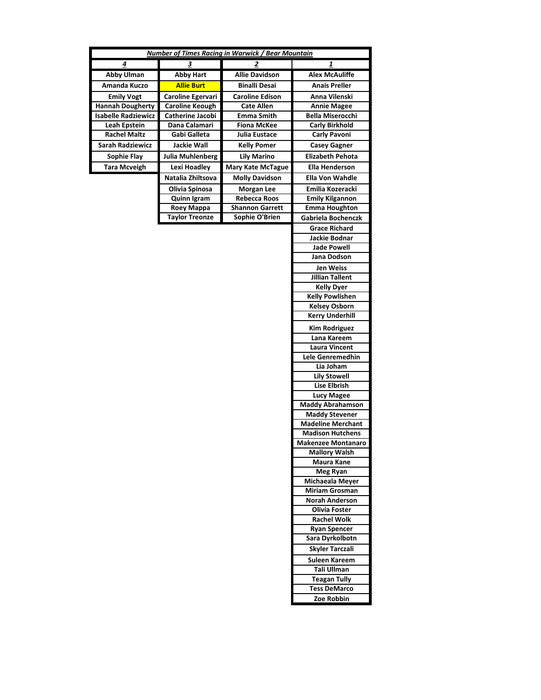|                                            |                         | Number of Times Racing in Warwick / Bear Mountain |                                              |
|--------------------------------------------|-------------------------|---------------------------------------------------|----------------------------------------------|
|                                            | 3                       | 2                                                 |                                              |
| 4                                          |                         | <b>Allie Davidson</b>                             | 1<br><b>Alex McAuliffe</b>                   |
| <b>Abby Ulman</b>                          | <b>Abby Hart</b>        |                                                   |                                              |
| Amanda Kuczo                               | <b>Allie Burt</b>       | <b>Binalli Desai</b>                              | <b>Anais Preller</b>                         |
| <b>Emily Vogt</b>                          | Caroline Egervari       | <b>Caroline Edison</b>                            | Anna Vilenski                                |
| <b>Hannah Dougherty</b>                    | <b>Caroline Keough</b>  | <b>Cate Allen</b>                                 | <b>Annie Magee</b>                           |
| <b>Isabelle Radziewicz</b>                 | Catherine Jacobi        | Emma Smith                                        | <b>Bella Miserocchi</b>                      |
| <b>Leah Epstein</b><br><b>Rachel Maltz</b> | Dana Calamari           | <b>Fiona McKee</b>                                | <b>Carly Birkhold</b><br><b>Carly Pavoni</b> |
|                                            | Gabi Galleta            | Julia Eustace                                     |                                              |
| <b>Sarah Radziewicz</b>                    | <b>Jackie Wall</b>      | <b>Kelly Pomer</b>                                | <b>Casey Gagner</b>                          |
| <b>Sophie Flay</b>                         | <b>Julia Muhlenberg</b> | <b>Lily Marino</b>                                | <b>Elizabeth Pehota</b>                      |
| <b>Tara Mcveigh</b>                        | <b>Lexi Hoadley</b>     | <b>Mary Kate McTague</b>                          | <b>Ella Henderson</b>                        |
|                                            | Natalia Zhiltsova       | <b>Molly Davidson</b>                             | Ella Von Wahdle                              |
|                                            | Olivia Spinosa          | <b>Morgan Lee</b>                                 | Emilia Kozeracki                             |
|                                            | <b>Quinn Igram</b>      | Rebecca Roos                                      | <b>Emily Kilgannon</b>                       |
|                                            | Roey Mappa              | <b>Shannon Garrett</b>                            | <b>Emma Houghton</b>                         |
|                                            | <b>Taylor Treonze</b>   | Sophie O'Brien                                    | Gabriela Bochenczk                           |
|                                            |                         |                                                   | <b>Grace Richard</b>                         |
|                                            |                         |                                                   | Jackie Bodnar                                |
|                                            |                         |                                                   | <b>Jade Powell</b>                           |
|                                            |                         |                                                   | Jana Dodson                                  |
|                                            |                         |                                                   | <b>Jen Weiss</b>                             |
|                                            |                         |                                                   | <b>Jillian Tallent</b>                       |
|                                            |                         |                                                   | <b>Kelly Dyer</b>                            |
|                                            |                         |                                                   | <b>Kelly Powlishen</b>                       |
|                                            |                         |                                                   | <b>Kelsey Osborn</b>                         |
|                                            |                         |                                                   | <b>Kerry Underhill</b>                       |
|                                            |                         |                                                   | <b>Kim Rodriguez</b>                         |
|                                            |                         |                                                   | Lana Kareem                                  |
|                                            |                         |                                                   | <b>Laura Vincent</b>                         |
|                                            |                         |                                                   | Lele Genremedhin                             |
|                                            |                         |                                                   | Lia Joham                                    |
|                                            |                         |                                                   | <b>Lily Stowell</b><br><b>Lise Elbrish</b>   |
|                                            |                         |                                                   |                                              |
|                                            |                         |                                                   | <b>Lucy Magee</b><br><b>Maddy Abrahamson</b> |
|                                            |                         |                                                   | <b>Maddy Stevener</b>                        |
|                                            |                         |                                                   | <b>Madeline Merchant</b>                     |
|                                            |                         |                                                   | <b>Madison Hutchens</b>                      |
|                                            |                         |                                                   | <b>Makenzee Montanaro</b>                    |
|                                            |                         |                                                   | <b>Mallory Walsh</b>                         |
|                                            |                         |                                                   | <b>Maura Kane</b>                            |
|                                            |                         |                                                   | <b>Meg Ryan</b>                              |
|                                            |                         |                                                   | Michaeala Meyer                              |
|                                            |                         |                                                   | <b>Miriam Grosman</b>                        |
|                                            |                         |                                                   | <b>Norah Anderson</b>                        |
|                                            |                         |                                                   | <b>Olivia Foster</b>                         |
|                                            |                         |                                                   | Rachel Wolk                                  |
|                                            |                         |                                                   | <b>Ryan Spencer</b>                          |
|                                            |                         |                                                   | Sara Dyrkolbotn                              |
|                                            |                         |                                                   | <b>Skyler Tarczali</b>                       |
|                                            |                         |                                                   | Suleen Kareem                                |
|                                            |                         |                                                   | Tali Ullman                                  |
|                                            |                         |                                                   | <b>Teagan Tully</b>                          |
|                                            |                         |                                                   | <b>Tess DeMarco</b>                          |
|                                            |                         |                                                   | Zoe Robbin                                   |
|                                            |                         |                                                   |                                              |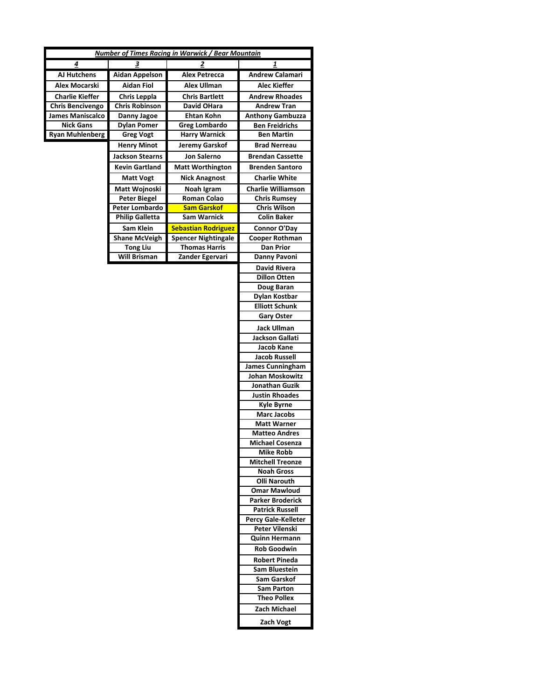|                         |                        | <b>Number of Times Racing in Warwick / Bear Mountain</b> |                            |
|-------------------------|------------------------|----------------------------------------------------------|----------------------------|
| 4                       | З                      | 2                                                        | 1                          |
| AJ Hutchens             | <b>Aidan Appelson</b>  | <b>Alex Petrecca</b>                                     | Andrew Calamari            |
| Alex Mocarski           | <b>Aidan Fiol</b>      | Alex Ullman                                              | Alec Kieffer               |
| <b>Charlie Kieffer</b>  | <b>Chris Leppla</b>    | <b>Chris Bartlett</b>                                    | <b>Andrew Rhoades</b>      |
| <b>Chris Bencivengo</b> | <b>Chris Robinson</b>  | David OHara                                              | <b>Andrew Tran</b>         |
| <b>James Maniscalco</b> | Danny Jagoe            | <b>Ehtan Kohn</b>                                        | <b>Anthony Gambuzza</b>    |
| <b>Nick Gans</b>        | <b>Dylan Pomer</b>     | <b>Greg Lombardo</b>                                     | <b>Ben Freidrichs</b>      |
| <b>Ryan Muhlenberg</b>  | <b>Greg Vogt</b>       | <b>Harry Warnick</b>                                     | <b>Ben Martin</b>          |
|                         | <b>Henry Minot</b>     | Jeremy Garskof                                           | <b>Brad Nerreau</b>        |
|                         | <b>Jackson Stearns</b> | <b>Jon Salerno</b>                                       | <b>Brendan Cassette</b>    |
|                         | <b>Kevin Gartland</b>  |                                                          |                            |
|                         |                        | <b>Matt Worthington</b>                                  | <b>Brenden Santoro</b>     |
|                         | <b>Matt Vogt</b>       | <b>Nick Anagnost</b>                                     | <b>Charlie White</b>       |
|                         | Matt Wojnoski          | Noah Igram                                               | <b>Charlie Williamson</b>  |
|                         | <b>Peter Biegel</b>    | <b>Roman Colao</b>                                       | <b>Chris Rumsey</b>        |
|                         | Peter Lombardo         | <b>Sam Garskof</b>                                       | <b>Chris Wilson</b>        |
|                         | <b>Philip Galletta</b> | Sam Warnick                                              | <b>Colin Baker</b>         |
|                         | Sam Klein              | <b>Sebastian Rodriguez</b>                               | Connor O'Day               |
|                         | <b>Shane McVeigh</b>   | <b>Spencer Nightingale</b>                               | Cooper Rothman             |
|                         | <b>Tong Liu</b>        | <b>Thomas Harris</b>                                     | <b>Dan Prior</b>           |
|                         | <b>Will Brisman</b>    | Zander Egervari                                          | Danny Pavoni               |
|                         |                        |                                                          | <b>David Rivera</b>        |
|                         |                        |                                                          | <b>Dillon Otten</b>        |
|                         |                        |                                                          | Doug Baran                 |
|                         |                        |                                                          | Dylan Kostbar              |
|                         |                        |                                                          | <b>Elliott Schunk</b>      |
|                         |                        |                                                          | <b>Gary Oster</b>          |
|                         |                        |                                                          | <b>Jack Ullman</b>         |
|                         |                        |                                                          | Jackson Gallati            |
|                         |                        |                                                          | Jacob Kane                 |
|                         |                        |                                                          | <b>Jacob Russell</b>       |
|                         |                        |                                                          | <b>James Cunningham</b>    |
|                         |                        |                                                          | Johan Moskowitz            |
|                         |                        |                                                          | Jonathan Guzik             |
|                         |                        |                                                          | <b>Justin Rhoades</b>      |
|                         |                        |                                                          | <b>Kyle Byrne</b>          |
|                         |                        |                                                          | <b>Marc Jacobs</b>         |
|                         |                        |                                                          | <b>Matt Warner</b>         |
|                         |                        |                                                          | <b>Matteo Andres</b>       |
|                         |                        |                                                          | <b>Michael Cosenza</b>     |
|                         |                        |                                                          | <b>Mike Robb</b>           |
|                         |                        |                                                          | <b>Mitchell Treonze</b>    |
|                         |                        |                                                          | <b>Noah Gross</b>          |
|                         |                        |                                                          | <b>Olli Narouth</b>        |
|                         |                        |                                                          | <b>Omar Mawloud</b>        |
|                         |                        |                                                          | <b>Parker Broderick</b>    |
|                         |                        |                                                          | <b>Patrick Russell</b>     |
|                         |                        |                                                          | <b>Percy Gale-Kelleter</b> |
|                         |                        |                                                          | Peter Vilenski             |
|                         |                        |                                                          | <b>Quinn Hermann</b>       |
|                         |                        |                                                          | <b>Rob Goodwin</b>         |
|                         |                        |                                                          | <b>Robert Pineda</b>       |
|                         |                        |                                                          | Sam Bluestein              |
|                         |                        |                                                          | Sam Garskof                |
|                         |                        |                                                          | <b>Sam Parton</b>          |
|                         |                        |                                                          | <b>Theo Pollex</b>         |
|                         |                        |                                                          | Zach Michael               |
|                         |                        |                                                          | Zach Vogt                  |
|                         |                        |                                                          |                            |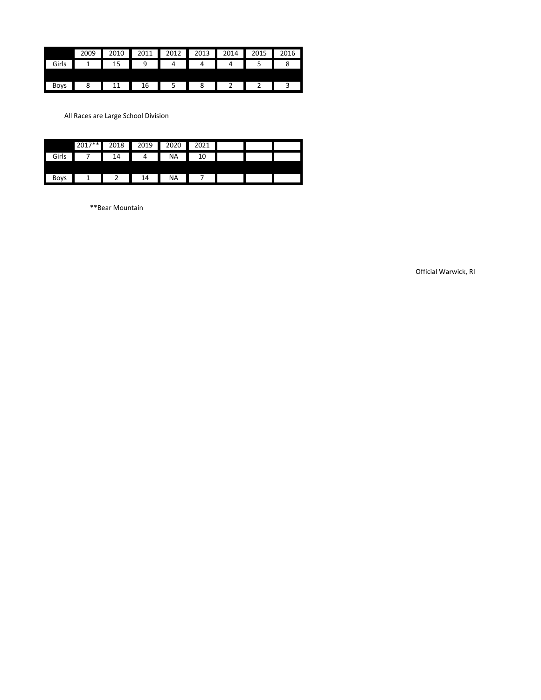|       | 2009 | 2010 | 2011 | 2012 | 2013 | 2014 | 2015 | 2016 |
|-------|------|------|------|------|------|------|------|------|
| Girls |      |      |      |      |      |      |      |      |
|       |      |      |      |      |      |      |      |      |
| Bovs  |      |      | !b   |      |      |      |      |      |

All Races are Large School Division

|             | 2017** | 2018 | 2019 | 2020      | 2021 |  |  |
|-------------|--------|------|------|-----------|------|--|--|
| Girls       |        | 14   | 4    | <b>NA</b> | 10   |  |  |
|             |        |      |      |           |      |  |  |
| <b>Boys</b> |        |      | 14   | <b>NA</b> |      |  |  |

\*\*Bear Mountain

Official Warwick, RI